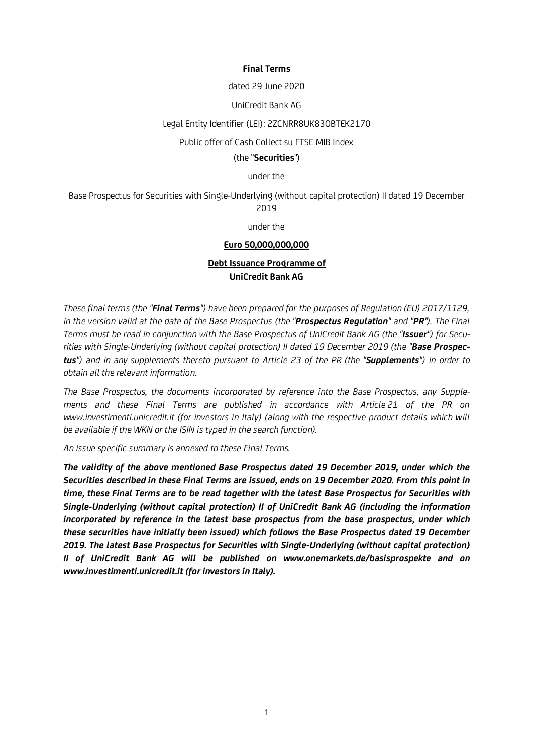### **Final Terms**

#### dated 29 June 2020

## UniCredit Bank AG

## Legal Entity Identifier (LEI): 2ZCNRR8UK83OBTEK2170

### Public offer of Cash Collect su FTSE MIB Index

### (the "**Securities**")

under the

Base Prospectus for Securities with Single-Underlying (without capital protection) II dated 19 December 2019

under the

### **Euro 50,000,000,000**

# **Debt Issuance Programme of UniCredit Bank AG**

*These final terms (the "Final Terms") have been prepared for the purposes of Regulation (EU) 2017/1129, in the version valid at the date of the Base Prospectus (the "Prospectus Regulation" and "PR"). The Final Terms must be read in conjunction with the Base Prospectus of UniCredit Bank AG (the "Issuer") for Securities with Single-Underlying (without capital protection) II dated 19 December 2019 (the "Base Prospectus") and in any supplements thereto pursuant to Article 23 of the PR (the "Supplements") in order to obtain all the relevant information.*

*The Base Prospectus, the documents incorporated by reference into the Base Prospectus, any Supplements and these Final Terms are published in accordance with Article 21 of the PR on www.investimenti.unicredit.it (for investors in Italy) (along with the respective product details which will be available if the WKN or the ISIN is typed in the search function).*

*An issue specific summary is annexed to these Final Terms.* 

*The validity of the above mentioned Base Prospectus dated 19 December 2019, under which the Securities described in these Final Terms are issued, ends on 19 December 2020. From this point in time, these Final Terms are to be read together with the latest Base Prospectus for Securities with Single-Underlying (without capital protection) II of UniCredit Bank AG (including the information incorporated by reference in the latest base prospectus from the base prospectus, under which these securities have initially been issued) which follows the Base Prospectus dated 19 December 2019. The latest Base Prospectus for Securities with Single-Underlying (without capital protection) II of UniCredit Bank AG will be published on www.onemarkets.de/basisprospekte and on www.investimenti.unicredit.it (for investors in Italy).*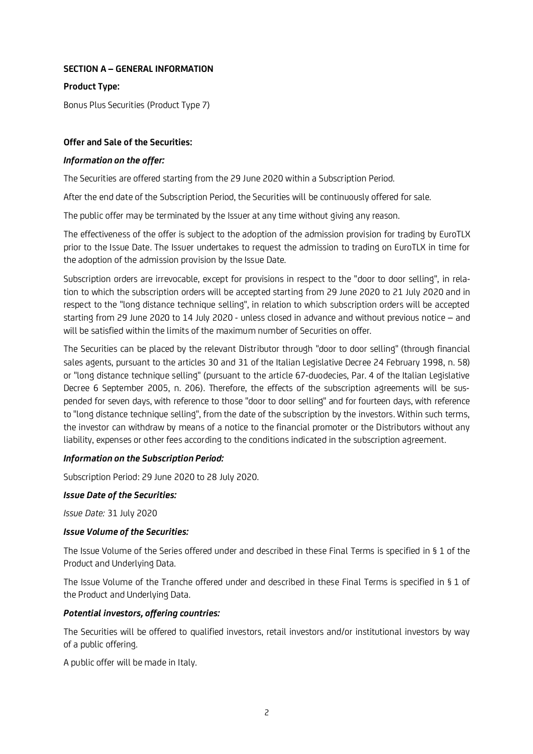# **SECTION A – GENERAL INFORMATION**

# **Product Type:**

Bonus Plus Securities (Product Type 7)

# **Offer and Sale of the Securities:**

# *Information on the offer:*

The Securities are offered starting from the 29 June 2020 within a Subscription Period.

After the end date of the Subscription Period, the Securities will be continuously offered for sale.

The public offer may be terminated by the Issuer at any time without giving any reason.

The effectiveness of the offer is subject to the adoption of the admission provision for trading by EuroTLX prior to the Issue Date. The Issuer undertakes to request the admission to trading on EuroTLX in time for the adoption of the admission provision by the Issue Date.

Subscription orders are irrevocable, except for provisions in respect to the "door to door selling", in relation to which the subscription orders will be accepted starting from 29 June 2020 to 21 July 2020 and in respect to the "long distance technique selling", in relation to which subscription orders will be accepted starting from 29 June 2020 to 14 July 2020 - unless closed in advance and without previous notice – and will be satisfied within the limits of the maximum number of Securities on offer.

The Securities can be placed by the relevant Distributor through "door to door selling" (through financial sales agents, pursuant to the articles 30 and 31 of the Italian Legislative Decree 24 February 1998, n. 58) or "long distance technique selling" (pursuant to the article 67-duodecies, Par. 4 of the Italian Legislative Decree 6 September 2005, n. 206). Therefore, the effects of the subscription agreements will be suspended for seven days, with reference to those "door to door selling" and for fourteen days, with reference to "long distance technique selling", from the date of the subscription by the investors. Within such terms, the investor can withdraw by means of a notice to the financial promoter or the Distributors without any liability, expenses or other fees according to the conditions indicated in the subscription agreement.

# *Information on the Subscription Period:*

Subscription Period: 29 June 2020 to 28 July 2020.

## *Issue Date of the Securities:*

*Issue Date:* 31 July 2020

## *Issue Volume of the Securities:*

The Issue Volume of the Series offered under and described in these Final Terms is specified in § 1 of the Product and Underlying Data.

The Issue Volume of the Tranche offered under and described in these Final Terms is specified in § 1 of the Product and Underlying Data.

# *Potential investors, offering countries:*

The Securities will be offered to qualified investors, retail investors and/or institutional investors by way of a public offering.

A public offer will be made in Italy.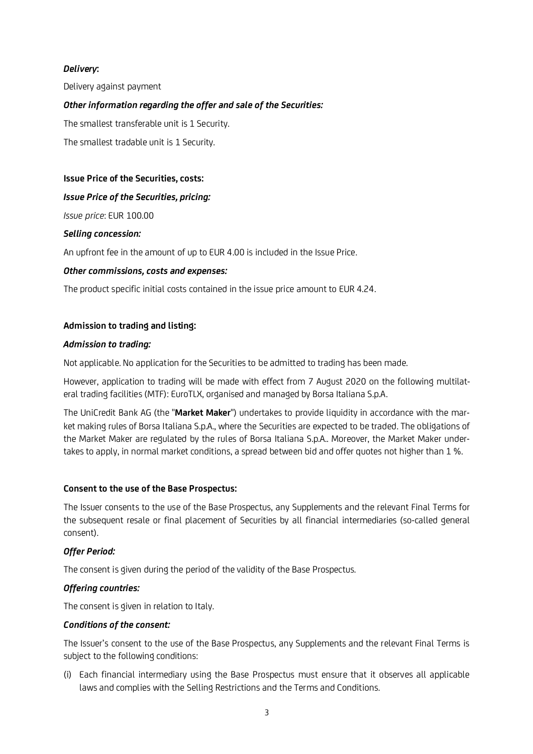# *Delivery***:**

Delivery against payment

# *Other information regarding the offer and sale of the Securities:*

The smallest transferable unit is 1 Security.

The smallest tradable unit is 1 Security.

## **Issue Price of the Securities, costs:**

## *Issue Price of the Securities, pricing:*

*Issue price*: EUR 100.00

## *Selling concession:*

An upfront fee in the amount of up to EUR 4.00 is included in the Issue Price.

## *Other commissions, costs and expenses:*

The product specific initial costs contained in the issue price amount to EUR 4.24.

## **Admission to trading and listing:**

### *Admission to trading:*

Not applicable. No application for the Securities to be admitted to trading has been made.

However, application to trading will be made with effect from 7 August 2020 on the following multilateral trading facilities (MTF): EuroTLX, organised and managed by Borsa Italiana S.p.A.

The UniCredit Bank AG (the "**Market Maker**") undertakes to provide liquidity in accordance with the market making rules of Borsa Italiana S.p.A., where the Securities are expected to be traded. The obligations of the Market Maker are regulated by the rules of Borsa Italiana S.p.A.. Moreover, the Market Maker undertakes to apply, in normal market conditions, a spread between bid and offer quotes not higher than 1 %.

## **Consent to the use of the Base Prospectus:**

The Issuer consents to the use of the Base Prospectus, any Supplements and the relevant Final Terms for the subsequent resale or final placement of Securities by all financial intermediaries (so-called general consent).

## *Offer Period:*

The consent is given during the period of the validity of the Base Prospectus.

## *Offering countries:*

The consent is given in relation to Italy.

## *Conditions of the consent:*

The Issuer's consent to the use of the Base Prospectus, any Supplements and the relevant Final Terms is subject to the following conditions:

(i) Each financial intermediary using the Base Prospectus must ensure that it observes all applicable laws and complies with the Selling Restrictions and the Terms and Conditions.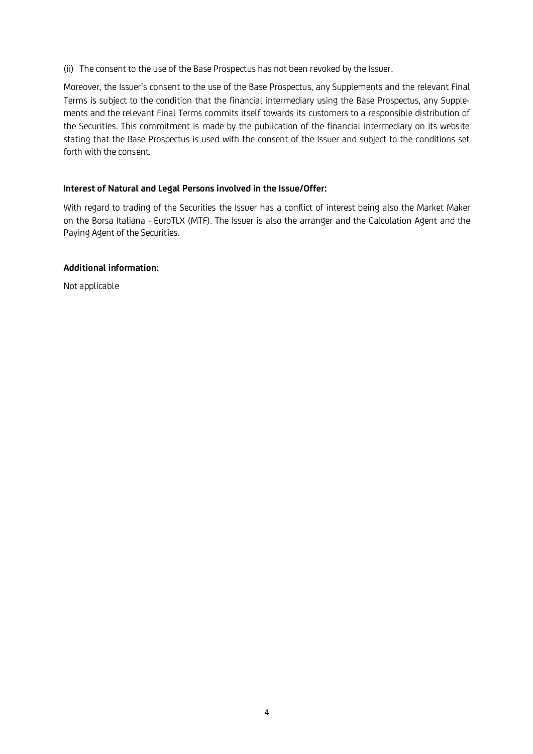(ii) The consent to the use of the Base Prospectus has not been revoked by the Issuer.

Moreover, the Issuer's consent to the use of the Base Prospectus, any Supplements and the relevant Final Terms is subject to the condition that the financial intermediary using the Base Prospectus, any Supplements and the relevant Final Terms commits itself towards its customers to a responsible distribution of the Securities. This commitment is made by the publication of the financial intermediary on its website stating that the Base Prospectus is used with the consent of the Issuer and subject to the conditions set forth with the consent.

# **Interest of Natural and Legal Persons involved in the Issue/Offer:**

With regard to trading of the Securities the Issuer has a conflict of interest being also the Market Maker on the Borsa Italiana - EuroTLX (MTF). The Issuer is also the arranger and the Calculation Agent and the Paying Agent of the Securities.

# **Additional information:**

Not applicable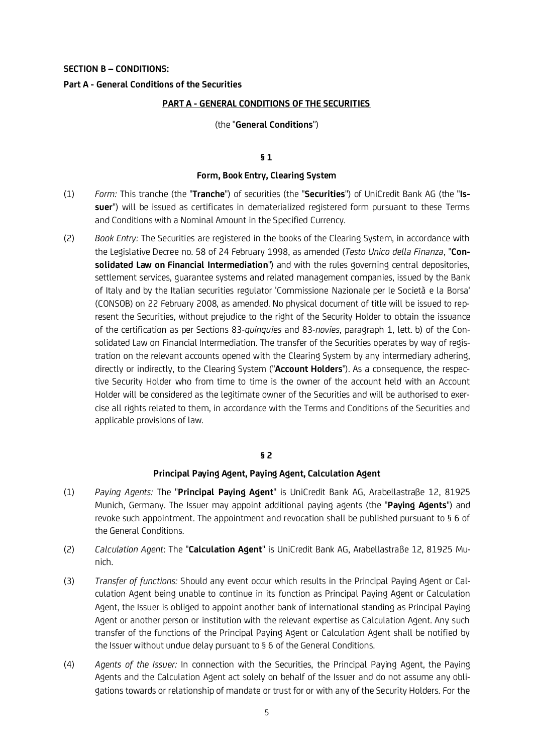#### **SECTION B – CONDITIONS:**

### **Part A - General Conditions of the Securities**

#### **PART A - GENERAL CONDITIONS OF THE SECURITIES**

#### (the "**General Conditions**")

#### **§ 1**

#### **Form, Book Entry, Clearing System**

- (1) *Form:* This tranche (the "**Tranche**") of securities (the "**Securities**") of UniCredit Bank AG (the "**Issuer**") will be issued as certificates in dematerialized registered form pursuant to these Terms and Conditions with a Nominal Amount in the Specified Currency.
- (2) *Book Entry:* The Securities are registered in the books of the Clearing System, in accordance with the Legislative Decree no. 58 of 24 February 1998, as amended (*Testo Unico della Finanza*, "**Consolidated Law on Financial Intermediation**") and with the rules governing central depositories, settlement services, guarantee systems and related management companies, issued by the Bank of Italy and by the Italian securities regulator 'Commissione Nazionale per le Società e la Borsa' (CONSOB) on 22 February 2008, as amended. No physical document of title will be issued to represent the Securities, without prejudice to the right of the Security Holder to obtain the issuance of the certification as per Sections 83-*quinquies* and 83-*novies*, paragraph 1, lett. b) of the Consolidated Law on Financial Intermediation. The transfer of the Securities operates by way of registration on the relevant accounts opened with the Clearing System by any intermediary adhering, directly or indirectly, to the Clearing System ("**Account Holders**"). As a consequence, the respective Security Holder who from time to time is the owner of the account held with an Account Holder will be considered as the legitimate owner of the Securities and will be authorised to exercise all rights related to them, in accordance with the Terms and Conditions of the Securities and applicable provisions of law.

#### **§ 2**

#### **Principal Paying Agent, Paying Agent, Calculation Agent**

- (1) *Paying Agents:* The "**Principal Paying Agent**" is UniCredit Bank AG, Arabellastraße 12, 81925 Munich, Germany. The Issuer may appoint additional paying agents (the "**Paying Agents**") and revoke such appointment. The appointment and revocation shall be published pursuant to § 6 of the General Conditions.
- (2) *Calculation Agent*: The "**Calculation Agent**" is UniCredit Bank AG, Arabellastraße 12, 81925 Munich.
- (3) *Transfer of functions:* Should any event occur which results in the Principal Paying Agent or Calculation Agent being unable to continue in its function as Principal Paying Agent or Calculation Agent, the Issuer is obliged to appoint another bank of international standing as Principal Paying Agent or another person or institution with the relevant expertise as Calculation Agent. Any such transfer of the functions of the Principal Paying Agent or Calculation Agent shall be notified by the Issuer without undue delay pursuant to § 6 of the General Conditions.
- (4) *Agents of the Issuer:* In connection with the Securities, the Principal Paying Agent, the Paying Agents and the Calculation Agent act solely on behalf of the Issuer and do not assume any obligations towards or relationship of mandate or trust for or with any of the Security Holders. For the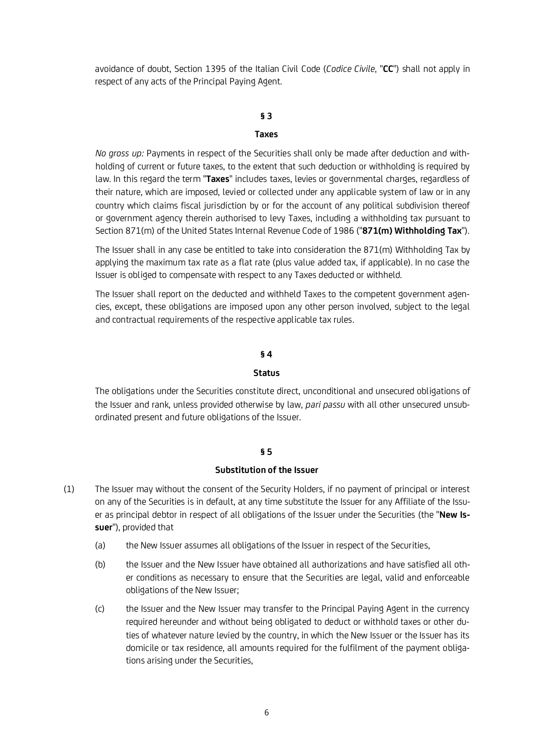avoidance of doubt, Section 1395 of the Italian Civil Code (*Codice Civile*, "**CC**") shall not apply in respect of any acts of the Principal Paying Agent.

## **§ 3**

#### **Taxes**

*No gross up:* Payments in respect of the Securities shall only be made after deduction and withholding of current or future taxes, to the extent that such deduction or withholding is required by law. In this regard the term "**Taxes**" includes taxes, levies or governmental charges, regardless of their nature, which are imposed, levied or collected under any applicable system of law or in any country which claims fiscal jurisdiction by or for the account of any political subdivision thereof or government agency therein authorised to levy Taxes, including a withholding tax pursuant to Section 871(m) of the United States Internal Revenue Code of 1986 ("**871(m) Withholding Tax**").

The Issuer shall in any case be entitled to take into consideration the 871(m) Withholding Tax by applying the maximum tax rate as a flat rate (plus value added tax, if applicable). In no case the Issuer is obliged to compensate with respect to any Taxes deducted or withheld.

The Issuer shall report on the deducted and withheld Taxes to the competent government agencies, except, these obligations are imposed upon any other person involved, subject to the legal and contractual requirements of the respective applicable tax rules.

#### **§ 4**

#### **Status**

The obligations under the Securities constitute direct, unconditional and unsecured obligations of the Issuer and rank, unless provided otherwise by law, *pari passu* with all other unsecured unsubordinated present and future obligations of the Issuer.

#### **§ 5**

#### **Substitution of the Issuer**

- (1) The Issuer may without the consent of the Security Holders, if no payment of principal or interest on any of the Securities is in default, at any time substitute the Issuer for any Affiliate of the Issuer as principal debtor in respect of all obligations of the Issuer under the Securities (the "**New Issuer**"), provided that
	- (a) the New Issuer assumes all obligations of the Issuer in respect of the Securities,
	- (b) the Issuer and the New Issuer have obtained all authorizations and have satisfied all other conditions as necessary to ensure that the Securities are legal, valid and enforceable obligations of the New Issuer;
	- (c) the Issuer and the New Issuer may transfer to the Principal Paying Agent in the currency required hereunder and without being obligated to deduct or withhold taxes or other duties of whatever nature levied by the country, in which the New Issuer or the Issuer has its domicile or tax residence, all amounts required for the fulfilment of the payment obligations arising under the Securities,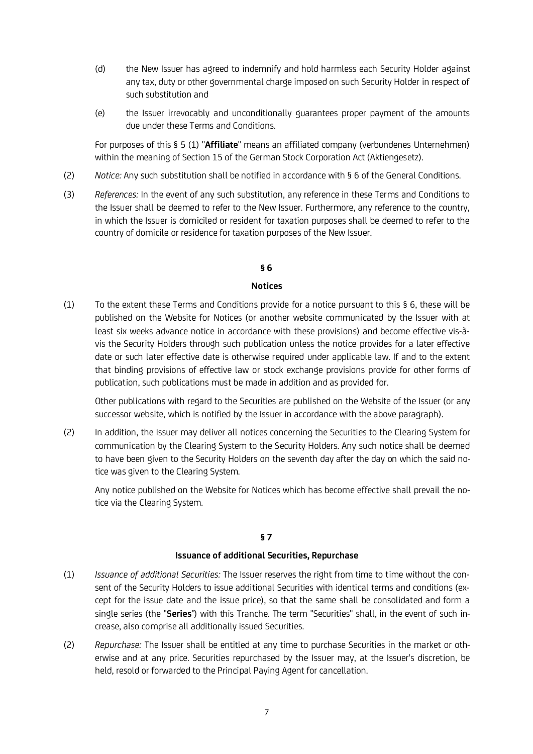- (d) the New Issuer has agreed to indemnify and hold harmless each Security Holder against any tax, duty or other governmental charge imposed on such Security Holder in respect of such substitution and
- (e) the Issuer irrevocably and unconditionally guarantees proper payment of the amounts due under these Terms and Conditions.

For purposes of this § 5 (1) "**Affiliate**" means an affiliated company (verbundenes Unternehmen) within the meaning of Section 15 of the German Stock Corporation Act (Aktiengesetz).

- (2) *Notice:* Any such substitution shall be notified in accordance with § 6 of the General Conditions.
- (3) *References:* In the event of any such substitution, any reference in these Terms and Conditions to the Issuer shall be deemed to refer to the New Issuer. Furthermore, any reference to the country, in which the Issuer is domiciled or resident for taxation purposes shall be deemed to refer to the country of domicile or residence for taxation purposes of the New Issuer.

# **§ 6**

## **Notices**

(1) To the extent these Terms and Conditions provide for a notice pursuant to this § 6, these will be published on the Website for Notices (or another website communicated by the Issuer with at least six weeks advance notice in accordance with these provisions) and become effective vis-àvis the Security Holders through such publication unless the notice provides for a later effective date or such later effective date is otherwise required under applicable law. If and to the extent that binding provisions of effective law or stock exchange provisions provide for other forms of publication, such publications must be made in addition and as provided for.

Other publications with regard to the Securities are published on the Website of the Issuer (or any successor website, which is notified by the Issuer in accordance with the above paragraph).

(2) In addition, the Issuer may deliver all notices concerning the Securities to the Clearing System for communication by the Clearing System to the Security Holders. Any such notice shall be deemed to have been given to the Security Holders on the seventh day after the day on which the said notice was given to the Clearing System.

Any notice published on the Website for Notices which has become effective shall prevail the notice via the Clearing System.

# **§ 7**

#### **Issuance of additional Securities, Repurchase**

- (1) *Issuance of additional Securities:* The Issuer reserves the right from time to time without the consent of the Security Holders to issue additional Securities with identical terms and conditions (except for the issue date and the issue price), so that the same shall be consolidated and form a single series (the "**Series**") with this Tranche. The term "Securities" shall, in the event of such increase, also comprise all additionally issued Securities.
- (2) *Repurchase:* The Issuer shall be entitled at any time to purchase Securities in the market or otherwise and at any price. Securities repurchased by the Issuer may, at the Issuer's discretion, be held, resold or forwarded to the Principal Paying Agent for cancellation.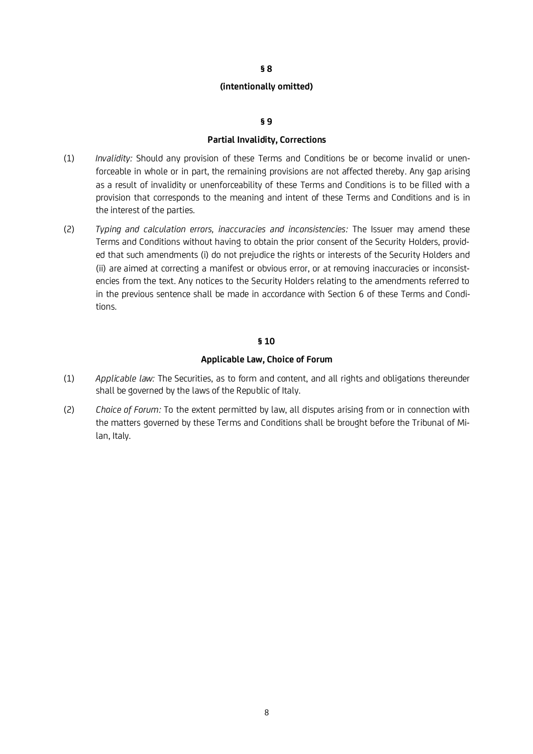#### **(intentionally omitted)**

#### **§ 9**

#### **Partial Invalidity, Corrections**

- (1) *Invalidity:* Should any provision of these Terms and Conditions be or become invalid or unenforceable in whole or in part, the remaining provisions are not affected thereby. Any gap arising as a result of invalidity or unenforceability of these Terms and Conditions is to be filled with a provision that corresponds to the meaning and intent of these Terms and Conditions and is in the interest of the parties.
- (2) *Typing and calculation errors, inaccuracies and inconsistencies:* The Issuer may amend these Terms and Conditions without having to obtain the prior consent of the Security Holders, provided that such amendments (i) do not prejudice the rights or interests of the Security Holders and (ii) are aimed at correcting a manifest or obvious error, or at removing inaccuracies or inconsistencies from the text. Any notices to the Security Holders relating to the amendments referred to in the previous sentence shall be made in accordance with Section 6 of these Terms and Conditions.

## **§ 10**

#### **Applicable Law, Choice of Forum**

- (1) *Applicable law:* The Securities, as to form and content, and all rights and obligations thereunder shall be governed by the laws of the Republic of Italy.
- (2) *Choice of Forum:* To the extent permitted by law, all disputes arising from or in connection with the matters governed by these Terms and Conditions shall be brought before the Tribunal of Milan, Italy.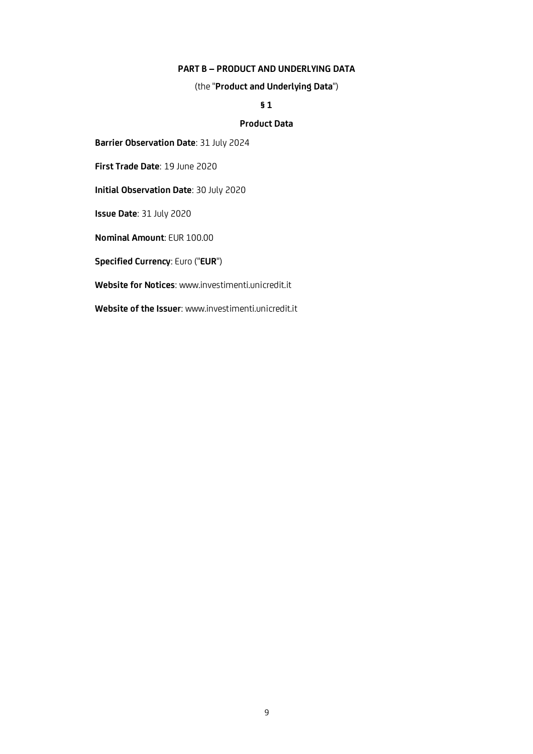### **PART B – PRODUCT AND UNDERLYING DATA**

(the "**Product and Underlying Data**")

## **§ 1**

# **Product Data**

**Barrier Observation Date**: 31 July 2024

**First Trade Date**: 19 June 2020

**Initial Observation Date**: 30 July 2020

**Issue Date**: 31 July 2020

**Nominal Amount**: EUR 100.00

**Specified Currency**: Euro ("**EUR**")

**Website for Notices**: www.investimenti.unicredit.it

**Website of the Issuer**: www.investimenti.unicredit.it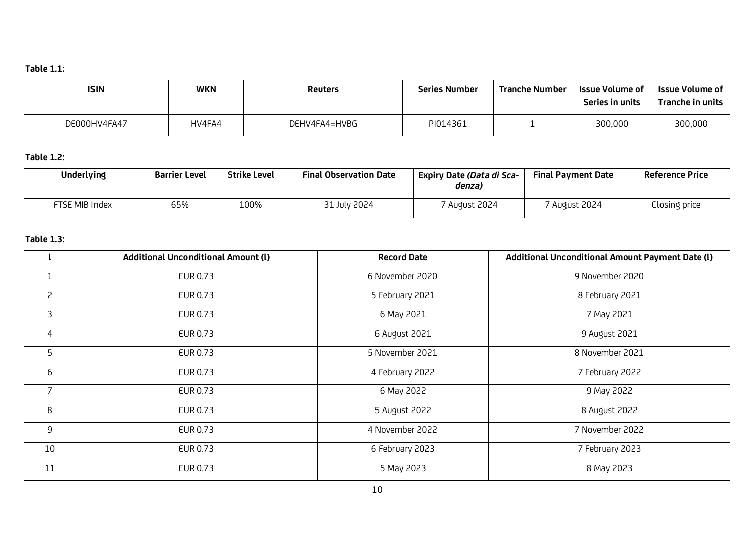# **Table 1.1:**

| <b>ISIN</b>  | <b>WKN</b> | <b>Reuters</b> | <b>Series Number</b> | <b>Tranche Number</b> | Issue Volume of<br>Series in units | Issue Volume of<br>Tranche in units |
|--------------|------------|----------------|----------------------|-----------------------|------------------------------------|-------------------------------------|
| DE000HV4FA47 | HV4FA4     | DEHV4FA4=HVBG  | PI014361             |                       | 300,000                            | 300,000                             |

# **Table 1.2:**

| <b>Underlying</b> | <b>Barrier Level</b> | <b>Strike Level</b> | <b>Final Observation Date</b> | Expiry Date (Data di Sca-<br>denza) | <b>Final Payment Date</b> | <b>Reference Price</b> |
|-------------------|----------------------|---------------------|-------------------------------|-------------------------------------|---------------------------|------------------------|
| FTSE MIB Index    | 65%                  | 100%                | 31 July 2024                  | August 2024                         | 7 August 2024             | Closing price          |

# **Table 1.3:**.

|                | <b>Additional Unconditional Amount (I)</b> | <b>Record Date</b> | Additional Unconditional Amount Payment Date (I) |
|----------------|--------------------------------------------|--------------------|--------------------------------------------------|
| $\mathbf{1}$   | EUR 0.73                                   | 6 November 2020    | 9 November 2020                                  |
| $\overline{c}$ | EUR 0.73                                   | 5 February 2021    | 8 February 2021                                  |
| $\overline{3}$ | EUR 0.73                                   | 6 May 2021         | 7 May 2021                                       |
| 4              | EUR 0.73                                   | 6 August 2021      | 9 August 2021                                    |
| 5              | EUR 0.73                                   | 5 November 2021    | 8 November 2021                                  |
| 6              | EUR 0.73                                   | 4 February 2022    | 7 February 2022                                  |
| $\overline{7}$ | EUR 0.73                                   | 6 May 2022         | 9 May 2022                                       |
| 8              | EUR 0.73                                   | 5 August 2022      | 8 August 2022                                    |
| 9              | EUR 0.73                                   | 4 November 2022    | 7 November 2022                                  |
| 10             | EUR 0.73                                   | 6 February 2023    | 7 February 2023                                  |
| 11             | EUR 0.73                                   | 5 May 2023         | 8 May 2023                                       |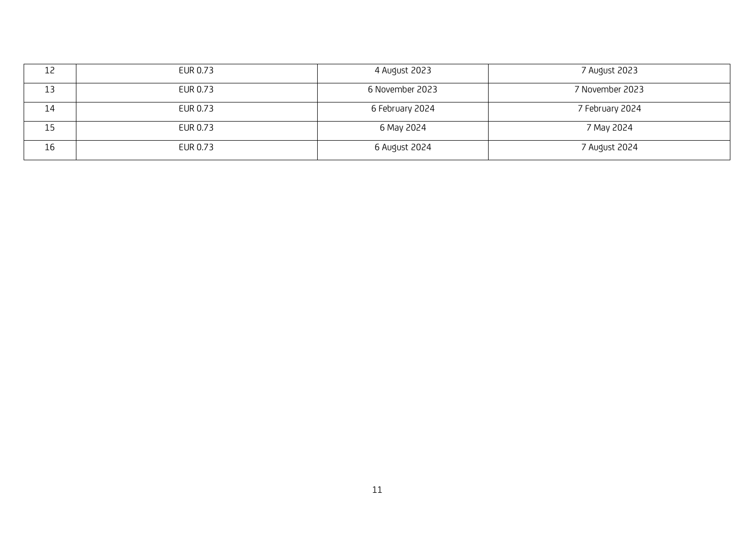| 12<br>ᅩᆫ | EUR 0.73 | 4 August 2023   | 7 August 2023   |
|----------|----------|-----------------|-----------------|
| ᅩ        | EUR 0.73 | 6 November 2023 | 7 November 2023 |
| 14       | EUR 0.73 | 6 February 2024 | 7 February 2024 |
| 15       | EUR 0.73 | 6 May 2024      | 7 May 2024      |
| 16       | EUR 0.73 | 6 August 2024   | 7 August 2024   |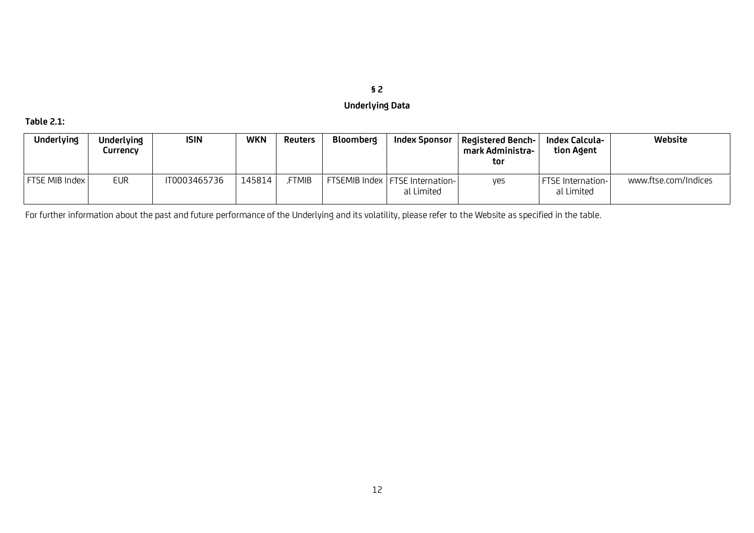# **§ 2**

# **Underlying Data**

# **Table 2.1:**

| <b>Underlying</b> | <b>Underlying</b><br>Currencv | <b>ISIN</b>  | WKN    | Reuters      | <b>Bloomberg</b> | Index Sponsor                                   | <b>Registered Bench-</b><br>mark Administra-<br>tor | Index Calcula-<br>tion Agent           | Website              |
|-------------------|-------------------------------|--------------|--------|--------------|------------------|-------------------------------------------------|-----------------------------------------------------|----------------------------------------|----------------------|
| FTSE MIB Index    | <b>EUR</b>                    | IT0003465736 | 145814 | <b>FTMIB</b> |                  | FTSEMIB Index   FTSE Internation-<br>al Limited | yes                                                 | <b>FTSE</b> Internation-<br>al Limited | www.ftse.com/Indices |

For further information about the past and future performance of the Underlying and its volatility, please refer to the Website as specified in the table.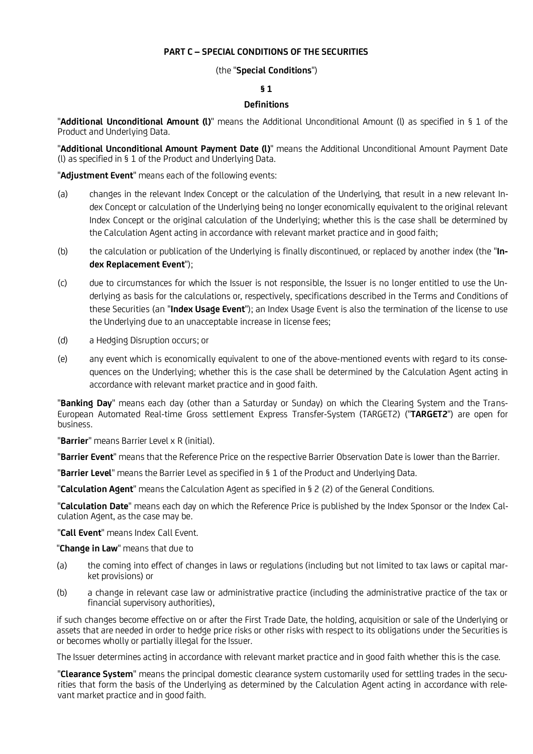## **PART C – SPECIAL CONDITIONS OF THE SECURITIES**

## (the "**Special Conditions**")

## **§ 1**

# **Definitions**

"**Additional Unconditional Amount (l)**" means the Additional Unconditional Amount (l) as specified in § 1 of the Product and Underlying Data.

"**Additional Unconditional Amount Payment Date (l)**" means the Additional Unconditional Amount Payment Date (l) as specified in § 1 of the Product and Underlying Data.

"**Adjustment Event**" means each of the following events:

- (a) changes in the relevant Index Concept or the calculation of the Underlying, that result in a new relevant Index Concept or calculation of the Underlying being no longer economically equivalent to the original relevant Index Concept or the original calculation of the Underlying; whether this is the case shall be determined by the Calculation Agent acting in accordance with relevant market practice and in good faith;
- (b) the calculation or publication of the Underlying is finally discontinued, or replaced by another index (the "**Index Replacement Event**");
- (c) due to circumstances for which the Issuer is not responsible, the Issuer is no longer entitled to use the Underlying as basis for the calculations or, respectively, specifications described in the Terms and Conditions of these Securities (an "**Index Usage Event**"); an Index Usage Event is also the termination of the license to use the Underlying due to an unacceptable increase in license fees;
- (d) a Hedging Disruption occurs; or
- (e) any event which is economically equivalent to one of the above-mentioned events with regard to its consequences on the Underlying; whether this is the case shall be determined by the Calculation Agent acting in accordance with relevant market practice and in good faith.

"**Banking Day**" means each day (other than a Saturday or Sunday) on which the Clearing System and the Trans-European Automated Real-time Gross settlement Express Transfer-System (TARGET2) ("**TARGET2**") are open for business.

"**Barrier**" means Barrier Level x R (initial).

"**Barrier Event**" means that the Reference Price on the respective Barrier Observation Date is lower than the Barrier.

"**Barrier Level**" means the Barrier Level as specified in § 1 of the Product and Underlying Data.

"**Calculation Agent**" means the Calculation Agent as specified in § 2 (2) of the General Conditions.

"**Calculation Date**" means each day on which the Reference Price is published by the Index Sponsor or the Index Calculation Agent, as the case may be.

"**Call Event**" means Index Call Event.

"**Change in Law**" means that due to

- (a) the coming into effect of changes in laws or regulations (including but not limited to tax laws or capital market provisions) or
- (b) a change in relevant case law or administrative practice (including the administrative practice of the tax or financial supervisory authorities),

if such changes become effective on or after the First Trade Date, the holding, acquisition or sale of the Underlying or assets that are needed in order to hedge price risks or other risks with respect to its obligations under the Securities is or becomes wholly or partially illegal for the Issuer.

The Issuer determines acting in accordance with relevant market practice and in good faith whether this is the case.

"**Clearance System**" means the principal domestic clearance system customarily used for settling trades in the securities that form the basis of the Underlying as determined by the Calculation Agent acting in accordance with relevant market practice and in good faith.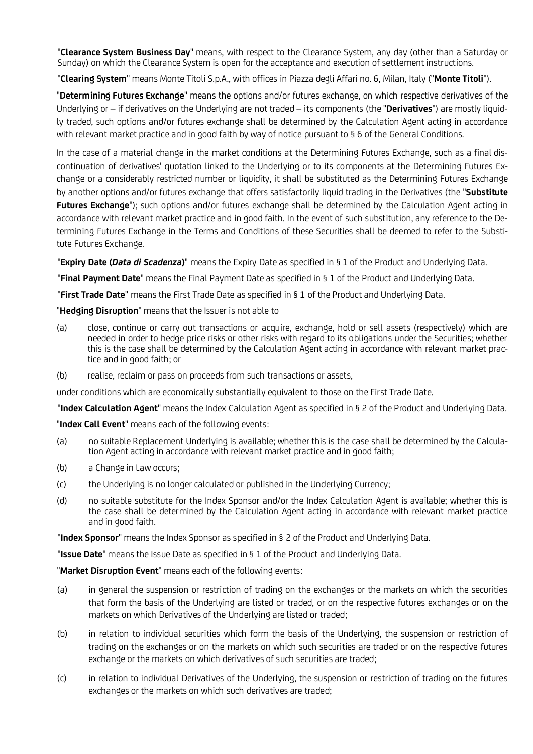"**Clearance System Business Day**" means, with respect to the Clearance System, any day (other than a Saturday or Sunday) on which the Clearance System is open for the acceptance and execution of settlement instructions.

"**Clearing System**" means Monte Titoli S.p.A., with offices in Piazza degli Affari no. 6, Milan, Italy ("**Monte Titoli**").

"**Determining Futures Exchange**" means the options and/or futures exchange, on which respective derivatives of the Underlying or – if derivatives on the Underlying are not traded – its components (the "**Derivatives**") are mostly liquidly traded, such options and/or futures exchange shall be determined by the Calculation Agent acting in accordance with relevant market practice and in good faith by way of notice pursuant to § 6 of the General Conditions.

In the case of a material change in the market conditions at the Determining Futures Exchange, such as a final discontinuation of derivatives' quotation linked to the Underlying or to its components at the Determining Futures Exchange or a considerably restricted number or liquidity, it shall be substituted as the Determining Futures Exchange by another options and/or futures exchange that offers satisfactorily liquid trading in the Derivatives (the "**Substitute Futures Exchange**"); such options and/or futures exchange shall be determined by the Calculation Agent acting in accordance with relevant market practice and in good faith. In the event of such substitution, any reference to the Determining Futures Exchange in the Terms and Conditions of these Securities shall be deemed to refer to the Substitute Futures Exchange.

"**Expiry Date (***Data di Scadenza***)**" means the Expiry Date as specified in § 1 of the Product and Underlying Data.

"**Final Payment Date**" means the Final Payment Date as specified in § 1 of the Product and Underlying Data.

"**First Trade Date**" means the First Trade Date as specified in § 1 of the Product and Underlying Data.

"**Hedging Disruption**" means that the Issuer is not able to

- (a) close, continue or carry out transactions or acquire, exchange, hold or sell assets (respectively) which are needed in order to hedge price risks or other risks with regard to its obligations under the Securities; whether this is the case shall be determined by the Calculation Agent acting in accordance with relevant market practice and in good faith; or
- (b) realise, reclaim or pass on proceeds from such transactions or assets,

under conditions which are economically substantially equivalent to those on the First Trade Date.

"**Index Calculation Agent**" means the Index Calculation Agent as specified in § 2 of the Product and Underlying Data.

"**Index Call Event**" means each of the following events:

- (a) no suitable Replacement Underlying is available; whether this is the case shall be determined by the Calculation Agent acting in accordance with relevant market practice and in good faith;
- (b) a Change in Law occurs;
- (c) the Underlying is no longer calculated or published in the Underlying Currency;
- (d) no suitable substitute for the Index Sponsor and/or the Index Calculation Agent is available; whether this is the case shall be determined by the Calculation Agent acting in accordance with relevant market practice and in good faith.

"**Index Sponsor**" means the Index Sponsor as specified in § 2 of the Product and Underlying Data.

"**Issue Date**" means the Issue Date as specified in § 1 of the Product and Underlying Data.

"**Market Disruption Event**" means each of the following events:

- (a) in general the suspension or restriction of trading on the exchanges or the markets on which the securities that form the basis of the Underlying are listed or traded, or on the respective futures exchanges or on the markets on which Derivatives of the Underlying are listed or traded;
- (b) in relation to individual securities which form the basis of the Underlying, the suspension or restriction of trading on the exchanges or on the markets on which such securities are traded or on the respective futures exchange or the markets on which derivatives of such securities are traded;
- (c) in relation to individual Derivatives of the Underlying, the suspension or restriction of trading on the futures exchanges or the markets on which such derivatives are traded;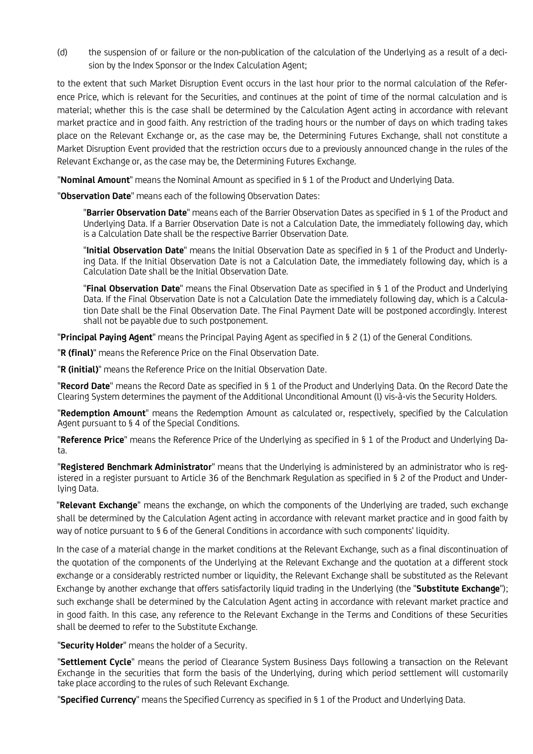(d) the suspension of or failure or the non-publication of the calculation of the Underlying as a result of a decision by the Index Sponsor or the Index Calculation Agent;

to the extent that such Market Disruption Event occurs in the last hour prior to the normal calculation of the Reference Price, which is relevant for the Securities, and continues at the point of time of the normal calculation and is material; whether this is the case shall be determined by the Calculation Agent acting in accordance with relevant market practice and in good faith. Any restriction of the trading hours or the number of days on which trading takes place on the Relevant Exchange or, as the case may be, the Determining Futures Exchange, shall not constitute a Market Disruption Event provided that the restriction occurs due to a previously announced change in the rules of the Relevant Exchange or, as the case may be, the Determining Futures Exchange.

"**Nominal Amount**" means the Nominal Amount as specified in § 1 of the Product and Underlying Data.

"**Observation Date**" means each of the following Observation Dates:

"**Barrier Observation Date**" means each of the Barrier Observation Dates as specified in § 1 of the Product and Underlying Data. If a Barrier Observation Date is not a Calculation Date, the immediately following day, which is a Calculation Date shall be the respective Barrier Observation Date.

"**Initial Observation Date**" means the Initial Observation Date as specified in § 1 of the Product and Underlying Data. If the Initial Observation Date is not a Calculation Date, the immediately following day, which is a Calculation Date shall be the Initial Observation Date.

"**Final Observation Date**" means the Final Observation Date as specified in § 1 of the Product and Underlying Data. If the Final Observation Date is not a Calculation Date the immediately following day, which is a Calculation Date shall be the Final Observation Date. The Final Payment Date will be postponed accordingly. Interest shall not be payable due to such postponement.

"**Principal Paying Agent**" means the Principal Paying Agent as specified in § 2 (1) of the General Conditions.

"**R (final)**" means the Reference Price on the Final Observation Date.

"**R (initial)**" means the Reference Price on the Initial Observation Date.

"**Record Date**" means the Record Date as specified in § 1 of the Product and Underlying Data. On the Record Date the Clearing System determines the payment of the Additional Unconditional Amount (l) vis-à-vis the Security Holders.

"**Redemption Amount**" means the Redemption Amount as calculated or, respectively, specified by the Calculation Agent pursuant to § 4 of the Special Conditions.

"**Reference Price**" means the Reference Price of the Underlying as specified in § 1 of the Product and Underlying Data.

"**Registered Benchmark Administrator**" means that the Underlying is administered by an administrator who is registered in a register pursuant to Article 36 of the Benchmark Regulation as specified in § 2 of the Product and Underlying Data.

"**Relevant Exchange**" means the exchange, on which the components of the Underlying are traded, such exchange shall be determined by the Calculation Agent acting in accordance with relevant market practice and in good faith by way of notice pursuant to § 6 of the General Conditions in accordance with such components' liquidity.

In the case of a material change in the market conditions at the Relevant Exchange, such as a final discontinuation of the quotation of the components of the Underlying at the Relevant Exchange and the quotation at a different stock exchange or a considerably restricted number or liquidity, the Relevant Exchange shall be substituted as the Relevant Exchange by another exchange that offers satisfactorily liquid trading in the Underlying (the "**Substitute Exchange**"); such exchange shall be determined by the Calculation Agent acting in accordance with relevant market practice and in good faith. In this case, any reference to the Relevant Exchange in the Terms and Conditions of these Securities shall be deemed to refer to the Substitute Exchange.

"**Security Holder**" means the holder of a Security.

"**Settlement Cycle**" means the period of Clearance System Business Days following a transaction on the Relevant Exchange in the securities that form the basis of the Underlying, during which period settlement will customarily take place according to the rules of such Relevant Exchange.

"**Specified Currency**" means the Specified Currency as specified in § 1 of the Product and Underlying Data.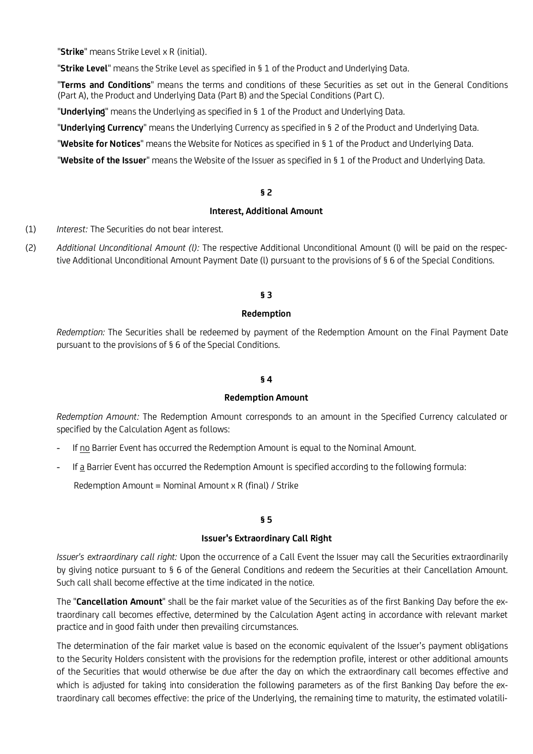"**Strike**" means Strike Level x R (initial).

"**Strike Level**" means the Strike Level as specified in § 1 of the Product and Underlying Data.

"**Terms and Conditions**" means the terms and conditions of these Securities as set out in the General Conditions (Part A), the Product and Underlying Data (Part B) and the Special Conditions (Part C).

"**Underlying**" means the Underlying as specified in § 1 of the Product and Underlying Data.

"**Underlying Currency**" means the Underlying Currency as specified in § 2 of the Product and Underlying Data.

"**Website for Notices**" means the Website for Notices as specified in § 1 of the Product and Underlying Data.

"**Website of the Issuer**" means the Website of the Issuer as specified in § 1 of the Product and Underlying Data.

### **§ 2**

## **Interest, Additional Amount**

- (1) *Interest:* The Securities do not bear interest.
- (2) *Additional Unconditional Amount (l):* The respective Additional Unconditional Amount (l) will be paid on the respective Additional Unconditional Amount Payment Date (l) pursuant to the provisions of § 6 of the Special Conditions.

## **§ 3**

#### **Redemption**

*Redemption:* The Securities shall be redeemed by payment of the Redemption Amount on the Final Payment Date pursuant to the provisions of § 6 of the Special Conditions.

#### **§ 4**

### **Redemption Amount**

*Redemption Amount:* The Redemption Amount corresponds to an amount in the Specified Currency calculated or specified by the Calculation Agent as follows:

- *-* If no Barrier Event has occurred the Redemption Amount is equal to the Nominal Amount.
- *-* If a Barrier Event has occurred the Redemption Amount is specified according to the following formula:

Redemption Amount = Nominal Amount  $\times$  R (final) / Strike

### **§ 5**

#### **Issuer's Extraordinary Call Right**

*Issuer's extraordinary call right:* Upon the occurrence of a Call Event the Issuer may call the Securities extraordinarily by giving notice pursuant to § 6 of the General Conditions and redeem the Securities at their Cancellation Amount. Such call shall become effective at the time indicated in the notice.

The "**Cancellation Amount**" shall be the fair market value of the Securities as of the first Banking Day before the extraordinary call becomes effective, determined by the Calculation Agent acting in accordance with relevant market practice and in good faith under then prevailing circumstances.

The determination of the fair market value is based on the economic equivalent of the Issuer's payment obligations to the Security Holders consistent with the provisions for the redemption profile, interest or other additional amounts of the Securities that would otherwise be due after the day on which the extraordinary call becomes effective and which is adjusted for taking into consideration the following parameters as of the first Banking Day before the extraordinary call becomes effective: the price of the Underlying, the remaining time to maturity, the estimated volatili-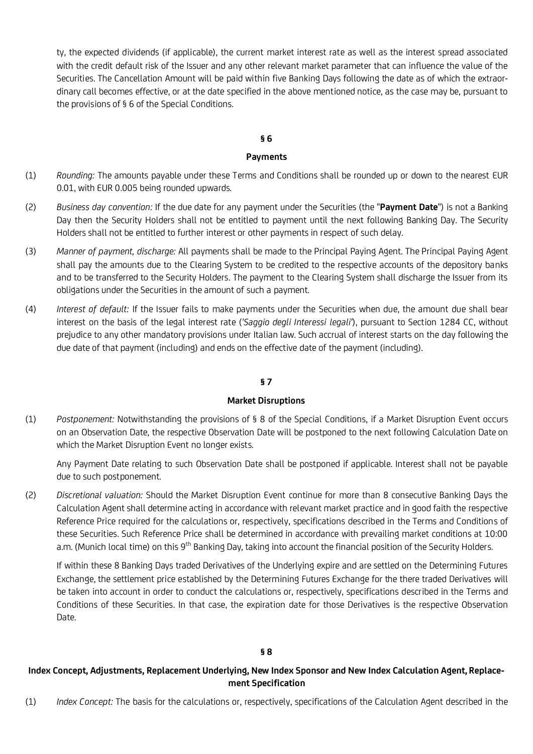ty, the expected dividends (if applicable), the current market interest rate as well as the interest spread associated with the credit default risk of the Issuer and any other relevant market parameter that can influence the value of the Securities. The Cancellation Amount will be paid within five Banking Days following the date as of which the extraordinary call becomes effective, or at the date specified in the above mentioned notice, as the case may be, pursuant to the provisions of § 6 of the Special Conditions.

## **§ 6**

## **Payments**

- (1) *Rounding:* The amounts payable under these Terms and Conditions shall be rounded up or down to the nearest EUR 0.01, with EUR 0.005 being rounded upwards.
- (2) *Business day convention:* If the due date for any payment under the Securities (the "**Payment Date**") is not a Banking Day then the Security Holders shall not be entitled to payment until the next following Banking Day. The Security Holders shall not be entitled to further interest or other payments in respect of such delay.
- (3) *Manner of payment, discharge:* All payments shall be made to the Principal Paying Agent. The Principal Paying Agent shall pay the amounts due to the Clearing System to be credited to the respective accounts of the depository banks and to be transferred to the Security Holders. The payment to the Clearing System shall discharge the Issuer from its obligations under the Securities in the amount of such a payment.
- (4) *Interest of default:* If the Issuer fails to make payments under the Securities when due, the amount due shall bear interest on the basis of the legal interest rate (*'Saggio degli Interessi legali'*), pursuant to Section 1284 CC, without prejudice to any other mandatory provisions under Italian law. Such accrual of interest starts on the day following the due date of that payment (including) and ends on the effective date of the payment (including).

# **§ 7**

## **Market Disruptions**

(1) *Postponement:* Notwithstanding the provisions of § 8 of the Special Conditions, if a Market Disruption Event occurs on an Observation Date, the respective Observation Date will be postponed to the next following Calculation Date on which the Market Disruption Event no longer exists.

Any Payment Date relating to such Observation Date shall be postponed if applicable. Interest shall not be payable due to such postponement.

(2) *Discretional valuation:* Should the Market Disruption Event continue for more than 8 consecutive Banking Days the Calculation Agent shall determine acting in accordance with relevant market practice and in good faith the respective Reference Price required for the calculations or, respectively, specifications described in the Terms and Conditions of these Securities. Such Reference Price shall be determined in accordance with prevailing market conditions at 10:00 a.m. (Munich local time) on this 9<sup>th</sup> Banking Day, taking into account the financial position of the Security Holders.

If within these 8 Banking Days traded Derivatives of the Underlying expire and are settled on the Determining Futures Exchange, the settlement price established by the Determining Futures Exchange for the there traded Derivatives will be taken into account in order to conduct the calculations or, respectively, specifications described in the Terms and Conditions of these Securities. In that case, the expiration date for those Derivatives is the respective Observation Date.

# **§ 8**

# **Index Concept, Adjustments, Replacement Underlying, New Index Sponsor and New Index Calculation Agent, Replacement Specification**

(1) *Index Concept:* The basis for the calculations or, respectively, specifications of the Calculation Agent described in the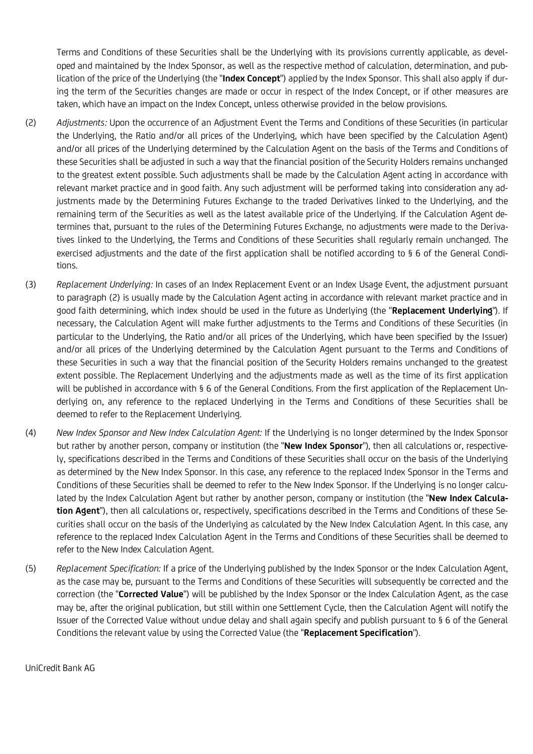Terms and Conditions of these Securities shall be the Underlying with its provisions currently applicable, as developed and maintained by the Index Sponsor, as well as the respective method of calculation, determination, and publication of the price of the Underlying (the "**Index Concept**") applied by the Index Sponsor. This shall also apply if during the term of the Securities changes are made or occur in respect of the Index Concept, or if other measures are taken, which have an impact on the Index Concept, unless otherwise provided in the below provisions.

- (2) *Adjustments:* Upon the occurrence of an Adjustment Event the Terms and Conditions of these Securities (in particular the Underlying, the Ratio and/or all prices of the Underlying, which have been specified by the Calculation Agent) and/or all prices of the Underlying determined by the Calculation Agent on the basis of the Terms and Conditions of these Securities shall be adjusted in such a way that the financial position of the Security Holders remains unchanged to the greatest extent possible. Such adjustments shall be made by the Calculation Agent acting in accordance with relevant market practice and in good faith. Any such adjustment will be performed taking into consideration any adjustments made by the Determining Futures Exchange to the traded Derivatives linked to the Underlying, and the remaining term of the Securities as well as the latest available price of the Underlying. If the Calculation Agent determines that, pursuant to the rules of the Determining Futures Exchange, no adjustments were made to the Derivatives linked to the Underlying, the Terms and Conditions of these Securities shall regularly remain unchanged. The exercised adjustments and the date of the first application shall be notified according to § 6 of the General Conditions.
- (3) *Replacement Underlying:* In cases of an Index Replacement Event or an Index Usage Event, the adjustment pursuant to paragraph (2) is usually made by the Calculation Agent acting in accordance with relevant market practice and in good faith determining, which index should be used in the future as Underlying (the "**Replacement Underlying**"). If necessary, the Calculation Agent will make further adjustments to the Terms and Conditions of these Securities (in particular to the Underlying, the Ratio and/or all prices of the Underlying, which have been specified by the Issuer) and/or all prices of the Underlying determined by the Calculation Agent pursuant to the Terms and Conditions of these Securities in such a way that the financial position of the Security Holders remains unchanged to the greatest extent possible. The Replacement Underlying and the adjustments made as well as the time of its first application will be published in accordance with § 6 of the General Conditions. From the first application of the Replacement Underlying on, any reference to the replaced Underlying in the Terms and Conditions of these Securities shall be deemed to refer to the Replacement Underlying.
- (4) *New Index Sponsor and New Index Calculation Agent:* If the Underlying is no longer determined by the Index Sponsor but rather by another person, company or institution (the "**New Index Sponsor**"), then all calculations or, respectively, specifications described in the Terms and Conditions of these Securities shall occur on the basis of the Underlying as determined by the New Index Sponsor. In this case, any reference to the replaced Index Sponsor in the Terms and Conditions of these Securities shall be deemed to refer to the New Index Sponsor. If the Underlying is no longer calculated by the Index Calculation Agent but rather by another person, company or institution (the "**New Index Calculation Agent**"), then all calculations or, respectively, specifications described in the Terms and Conditions of these Securities shall occur on the basis of the Underlying as calculated by the New Index Calculation Agent. In this case, any reference to the replaced Index Calculation Agent in the Terms and Conditions of these Securities shall be deemed to refer to the New Index Calculation Agent.
- (5) *Replacement Specification:* If a price of the Underlying published by the Index Sponsor or the Index Calculation Agent, as the case may be, pursuant to the Terms and Conditions of these Securities will subsequently be corrected and the correction (the "**Corrected Value**") will be published by the Index Sponsor or the Index Calculation Agent, as the case may be, after the original publication, but still within one Settlement Cycle, then the Calculation Agent will notify the Issuer of the Corrected Value without undue delay and shall again specify and publish pursuant to § 6 of the General Conditions the relevant value by using the Corrected Value (the "**Replacement Specification**").

UniCredit Bank AG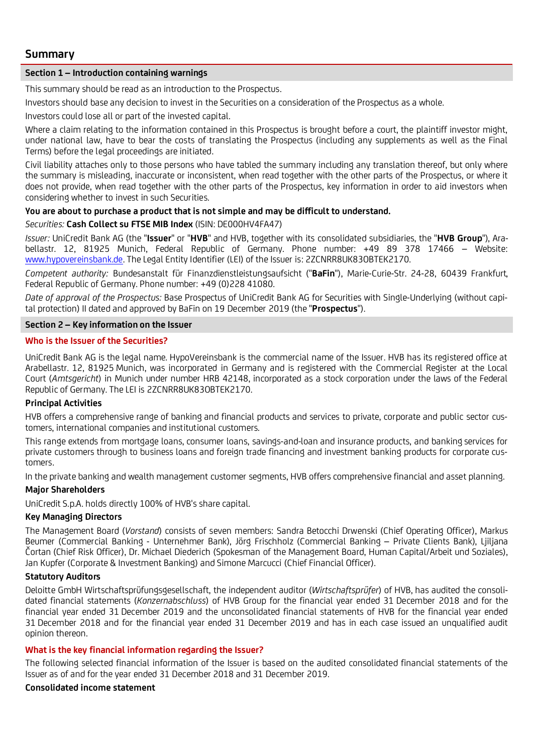# **Summary**

## **Section 1 – Introduction containing warnings**

This summary should be read as an introduction to the Prospectus.

Investors should base any decision to invest in the Securities on a consideration of the Prospectus as a whole.

Investors could lose all or part of the invested capital.

Where a claim relating to the information contained in this Prospectus is brought before a court, the plaintiff investor might, under national law, have to bear the costs of translating the Prospectus (including any supplements as well as the Final Terms) before the legal proceedings are initiated.

Civil liability attaches only to those persons who have tabled the summary including any translation thereof, but only where the summary is misleading, inaccurate or inconsistent, when read together with the other parts of the Prospectus, or where it does not provide, when read together with the other parts of the Prospectus, key information in order to aid investors when considering whether to invest in such Securities.

# **You are about to purchase a product that is not simple and may be difficult to understand.**

## *Securities:* **Cash Collect su FTSE MIB Index** (ISIN: DE000HV4FA47)

*Issuer:* UniCredit Bank AG (the "**Issuer**" or "**HVB**" and HVB, together with its consolidated subsidiaries, the "**HVB Group**"), Arabellastr. 12, 81925 Munich, Federal Republic of Germany. Phone number: +49 89 378 17466 – Website: [www.hypovereinsbank.de.](http://www.hypovereinsbank.de/) The Legal Entity Identifier (LEI) of the Issuer is: 2ZCNRR8UK83OBTEK2170.

*Competent authority:* Bundesanstalt für Finanzdienstleistungsaufsicht ("**BaFin**"), Marie-Curie-Str. 24-28, 60439 Frankfurt, Federal Republic of Germany. Phone number: +49 (0)228 41080.

*Date of approval of the Prospectus:* Base Prospectus of UniCredit Bank AG for Securities with Single-Underlying (without capital protection) II dated and approved by BaFin on 19 December 2019 (the "**Prospectus**").

## **Section 2 – Key information on the Issuer**

## **Who is the Issuer of the Securities?**

UniCredit Bank AG is the legal name. HypoVereinsbank is the commercial name of the Issuer. HVB has its registered office at Arabellastr. 12, 81925 Munich, was incorporated in Germany and is registered with the Commercial Register at the Local Court (*Amtsgericht*) in Munich under number HRB 42148, incorporated as a stock corporation under the laws of the Federal Republic of Germany. The LEI is 2ZCNRR8UK83OBTEK2170.

## **Principal Activities**

HVB offers a comprehensive range of banking and financial products and services to private, corporate and public sector customers, international companies and institutional customers.

This range extends from mortgage loans, consumer loans, savings-and-loan and insurance products, and banking services for private customers through to business loans and foreign trade financing and investment banking products for corporate customers.

In the private banking and wealth management customer segments, HVB offers comprehensive financial and asset planning.

## **Major Shareholders**

UniCredit S.p.A. holds directly 100% of HVB's share capital.

## **Key Managing Directors**

The Management Board (*Vorstand*) consists of seven members: Sandra Betocchi Drwenski (Chief Operating Officer), Markus Beumer (Commercial Banking - Unternehmer Bank), Jörg Frischholz (Commercial Banking – Private Clients Bank), Ljiljana Čortan (Chief Risk Officer), Dr. Michael Diederich (Spokesman of the Management Board, Human Capital/Arbeit und Soziales), Jan Kupfer (Corporate & Investment Banking) and Simone Marcucci (Chief Financial Officer).

## **Statutory Auditors**

Deloitte GmbH Wirtschaftsprüfungsgesellschaft, the independent auditor (*Wirtschaftsprüfer*) of HVB, has audited the consolidated financial statements (*Konzernabschluss*) of HVB Group for the financial year ended 31 December 2018 and for the financial year ended 31 December 2019 and the unconsolidated financial statements of HVB for the financial year ended 31 December 2018 and for the financial year ended 31 December 2019 and has in each case issued an unqualified audit opinion thereon.

## **What is the key financial information regarding the Issuer?**

The following selected financial information of the Issuer is based on the audited consolidated financial statements of the Issuer as of and for the year ended 31 December 2018 and 31 December 2019.

## **Consolidated income statement**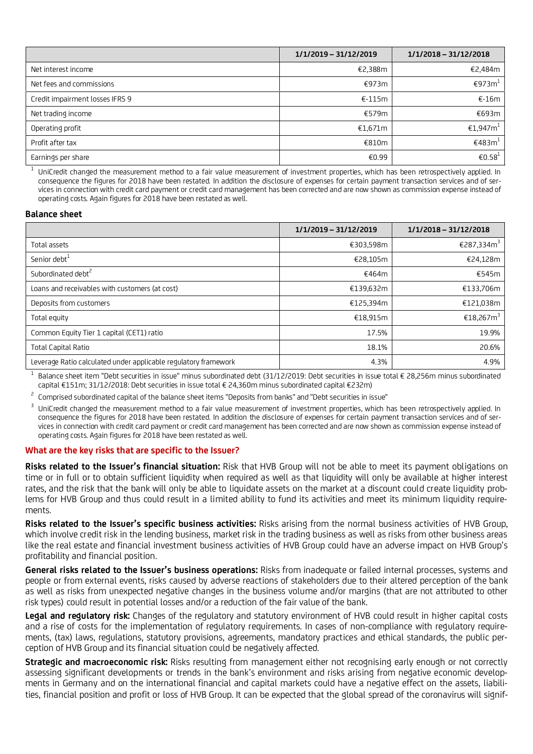|                                 | 1/1/2019 - 31/12/2019 | $1/1/2018 - 31/12/2018$ |
|---------------------------------|-----------------------|-------------------------|
| Net interest income             | €2,388m               | €2,484m                 |
| Net fees and commissions        | €973m                 | €973 $m⊥$               |
| Credit impairment losses IFRS 9 | $€-115m$              | $€-16m$                 |
| Net trading income              | €579m                 | €693m                   |
| Operating profit                | €1,671m               | €1,947 $m1$             |
| Profit after tax                | €810m                 | €483 $m1$               |
| Earnings per share              | €0.99                 | €0.58 $⊥$               |

1 UniCredit changed the measurement method to a fair value measurement of investment properties, which has been retrospectively applied. In consequence the figures for 2018 have been restated. In addition the disclosure of expenses for certain payment transaction services and of services in connection with credit card payment or credit card management has been corrected and are now shown as commission expense instead of operating costs. Again figures for 2018 have been restated as well.

### **Balance sheet**

|                                                                 | 1/1/2019 - 31/12/2019 | $1/1/2018 - 31/12/2018$ |
|-----------------------------------------------------------------|-----------------------|-------------------------|
| Total assets                                                    | €303,598m             | €287,334m <sup>3</sup>  |
| Senior debt <sup>1</sup>                                        | €28,105m              | €24,128m                |
| Subordinated debt <sup>2</sup>                                  | €464m                 | €545m                   |
| Loans and receivables with customers (at cost)                  | €139,632m             | €133,706m               |
| Deposits from customers                                         | €125,394m             | €121,038m               |
| Total equity                                                    | €18,915m              | €18,267m <sup>3</sup>   |
| Common Equity Tier 1 capital (CET1) ratio                       | 17.5%                 | 19.9%                   |
| Total Capital Ratio                                             | 18.1%                 | 20.6%                   |
| Leverage Ratio calculated under applicable regulatory framework | 4.3%                  | 4.9%                    |

1 Balance sheet item "Debt securities in issue" minus subordinated debt (31/12/2019: Debt securities in issue total € 28,256m minus subordinated capital €151m; 31/12/2018: Debt securities in issue total € 24,360m minus subordinated capital €232m)

2 Comprised subordinated capital of the balance sheet items "Deposits from banks" and "Debt securities in issue"

3 UniCredit changed the measurement method to a fair value measurement of investment properties, which has been retrospectively applied. In consequence the figures for 2018 have been restated. In addition the disclosure of expenses for certain payment transaction services and of services in connection with credit card payment or credit card management has been corrected and are now shown as commission expense instead of operating costs. Again figures for 2018 have been restated as well.

#### **What are the key risks that are specific to the Issuer?**

**Risks related to the Issuer's financial situation:** Risk that HVB Group will not be able to meet its payment obligations on time or in full or to obtain sufficient liquidity when required as well as that liquidity will only be available at higher interest rates, and the risk that the bank will only be able to liquidate assets on the market at a discount could create liquidity problems for HVB Group and thus could result in a limited ability to fund its activities and meet its minimum liquidity requirements.

**Risks related to the Issuer's specific business activities:** Risks arising from the normal business activities of HVB Group, which involve credit risk in the lending business, market risk in the trading business as well as risks from other business areas like the real estate and financial investment business activities of HVB Group could have an adverse impact on HVB Group's profitability and financial position.

**General risks related to the Issuer's business operations:** Risks from inadequate or failed internal processes, systems and people or from external events, risks caused by adverse reactions of stakeholders due to their altered perception of the bank as well as risks from unexpected negative changes in the business volume and/or margins (that are not attributed to other risk types) could result in potential losses and/or a reduction of the fair value of the bank.

**Legal and regulatory risk:** Changes of the regulatory and statutory environment of HVB could result in higher capital costs and a rise of costs for the implementation of regulatory requirements. In cases of non-compliance with regulatory requirements, (tax) laws, regulations, statutory provisions, agreements, mandatory practices and ethical standards, the public perception of HVB Group and its financial situation could be negatively affected.

**Strategic and macroeconomic risk:** Risks resulting from management either not recognising early enough or not correctly assessing significant developments or trends in the bank's environment and risks arising from negative economic developments in Germany and on the international financial and capital markets could have a negative effect on the assets, liabilities, financial position and profit or loss of HVB Group. It can be expected that the global spread of the coronavirus will signif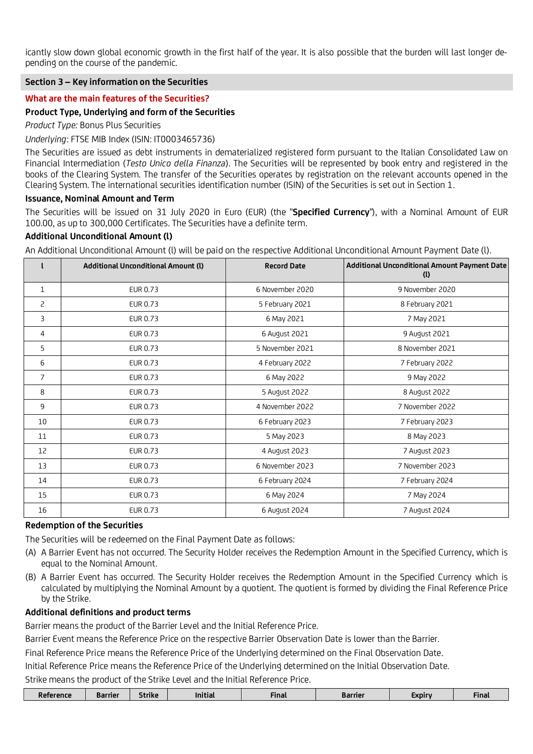icantly slow down global economic growth in the first half of the year. It is also possible that the burden will last longer depending on the course of the pandemic.

## **Section 3 – Key information on the Securities**

## **What are the main features of the Securities?**

## **Product Type, Underlying and form of the Securities**

*Product Type:* Bonus Plus Securities

*Underlying*: FTSE MIB Index (ISIN: IT0003465736)

The Securities are issued as debt instruments in dematerialized registered form pursuant to the Italian Consolidated Law on Financial Intermediation (*Testo Unico della Finanza*). The Securities will be represented by book entry and registered in the books of the Clearing System. The transfer of the Securities operates by registration on the relevant accounts opened in the Clearing System. The international securities identification number (ISIN) of the Securities is set out in Section 1.

### **Issuance, Nominal Amount and Term**

The Securities will be issued on 31 July 2020 in Euro (EUR) (the "**Specified Currency**"), with a Nominal Amount of EUR 100.00, as up to 300,000 Certificates. The Securities have a definite term.

### **Additional Unconditional Amount (l)**

An Additional Unconditional Amount (l) will be paid on the respective Additional Unconditional Amount Payment Date (l).

|                | <b>Additional Unconditional Amount (I)</b> | <b>Record Date</b> | Additional Unconditional Amount Payment Date<br>(1) |
|----------------|--------------------------------------------|--------------------|-----------------------------------------------------|
| $\mathbf{1}$   | EUR 0.73                                   | 6 November 2020    | 9 November 2020                                     |
| 2              | EUR 0.73                                   | 5 February 2021    | 8 February 2021                                     |
| 3              | EUR 0.73                                   | 6 May 2021         | 7 May 2021                                          |
| 4              | EUR 0.73                                   | 6 August 2021      | 9 August 2021                                       |
| 5              | EUR 0.73                                   | 5 November 2021    | 8 November 2021                                     |
| 6              | EUR 0.73                                   | 4 February 2022    | 7 February 2022                                     |
| $\overline{7}$ | EUR 0.73                                   | 6 May 2022         | 9 May 2022                                          |
| 8              | EUR 0.73                                   | 5 August 2022      | 8 August 2022                                       |
| 9              | EUR 0.73                                   | 4 November 2022    | 7 November 2022                                     |
| 10             | EUR 0.73                                   | 6 February 2023    | 7 February 2023                                     |
| 11             | EUR 0.73                                   | 5 May 2023         | 8 May 2023                                          |
| 12             | EUR 0.73                                   | 4 August 2023      | 7 August 2023                                       |
| 13             | EUR 0.73                                   | 6 November 2023    | 7 November 2023                                     |
| 14             | EUR 0.73                                   | 6 February 2024    | 7 February 2024                                     |
| 15             | EUR 0.73                                   | 6 May 2024         | 7 May 2024                                          |
| 16             | EUR 0.73                                   | 6 August 2024      | 7 August 2024                                       |

## **Redemption of the Securities**

The Securities will be redeemed on the Final Payment Date as follows:

- (A) A Barrier Event has not occurred. The Security Holder receives the Redemption Amount in the Specified Currency, which is equal to the Nominal Amount.
- (B) A Barrier Event has occurred. The Security Holder receives the Redemption Amount in the Specified Currency which is calculated by multiplying the Nominal Amount by a quotient. The quotient is formed by dividing the Final Reference Price by the Strike.

# **Additional definitions and product terms**

Barrier means the product of the Barrier Level and the Initial Reference Price.

Barrier Event means the Reference Price on the respective Barrier Observation Date is lower than the Barrier.

Final Reference Price means the Reference Price of the Underlying determined on the Final Observation Date.

Initial Reference Price means the Reference Price of the Underlying determined on the Initial Observation Date. Strike means the product of the Strike Level and the Initial Reference Price.

| Final<br>.<br>Final<br>Strike<br><b>Refe</b><br>erence<br>Barrier<br>Barrier<br>.<br><b>EXDIL</b><br>tial |  |  |  |  |
|-----------------------------------------------------------------------------------------------------------|--|--|--|--|
|                                                                                                           |  |  |  |  |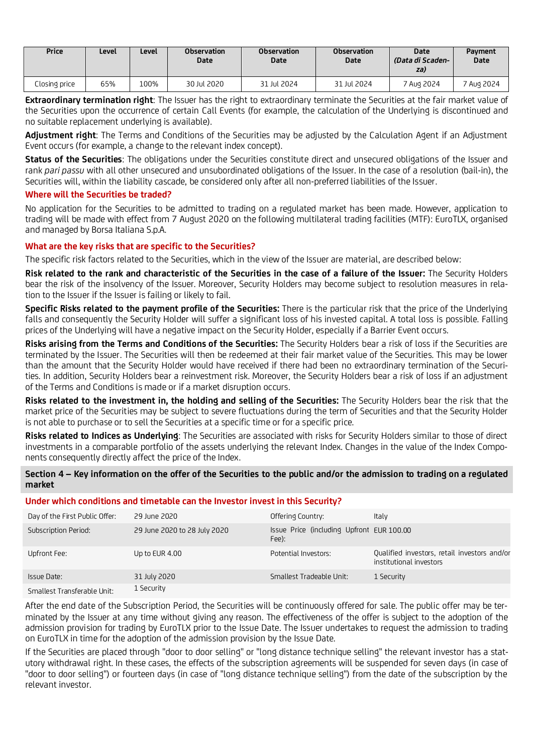| Price         | Level | Level | <b>Observation</b><br><b>Date</b> | <b>Observation</b><br>Date | <b>Observation</b><br><b>Date</b> | <b>Date</b><br>(Data di Scaden-<br>za) | <b>Payment</b><br>Date |
|---------------|-------|-------|-----------------------------------|----------------------------|-----------------------------------|----------------------------------------|------------------------|
| Closing price | 65%   | 100%  | 30 Jul 2020                       | 31 Jul 2024                | 31 Jul 2024                       | <sup>7</sup> Aug 2024                  | <sup>7</sup> Aug 2024  |

**Extraordinary termination right**: The Issuer has the right to extraordinary terminate the Securities at the fair market value of the Securities upon the occurrence of certain Call Events (for example, the calculation of the Underlying is discontinued and no suitable replacement underlying is available).

**Adjustment right**: The Terms and Conditions of the Securities may be adjusted by the Calculation Agent if an Adjustment Event occurs (for example, a change to the relevant index concept).

**Status of the Securities**: The obligations under the Securities constitute direct and unsecured obligations of the Issuer and rank *pari passu* with all other unsecured and unsubordinated obligations of the Issuer. In the case of a resolution (bail-in), the Securities will, within the liability cascade, be considered only after all non-preferred liabilities of the Issuer.

## **Where will the Securities be traded?**

No application for the Securities to be admitted to trading on a regulated market has been made. However, application to trading will be made with effect from 7 August 2020 on the following multilateral trading facilities (MTF): EuroTLX, organised and managed by Borsa Italiana S.p.A.

# **What are the key risks that are specific to the Securities?**

The specific risk factors related to the Securities, which in the view of the Issuer are material, are described below:

**Risk related to the rank and characteristic of the Securities in the case of a failure of the Issuer:** The Security Holders bear the risk of the insolvency of the Issuer. Moreover, Security Holders may become subject to resolution measures in relation to the Issuer if the Issuer is failing or likely to fail.

**Specific Risks related to the payment profile of the Securities:** There is the particular risk that the price of the Underlying falls and consequently the Security Holder will suffer a significant loss of his invested capital. A total loss is possible. Falling prices of the Underlying will have a negative impact on the Security Holder, especially if a Barrier Event occurs.

**Risks arising from the Terms and Conditions of the Securities:** The Security Holders bear a risk of loss if the Securities are terminated by the Issuer. The Securities will then be redeemed at their fair market value of the Securities. This may be lower than the amount that the Security Holder would have received if there had been no extraordinary termination of the Securities. In addition, Security Holders bear a reinvestment risk. Moreover, the Security Holders bear a risk of loss if an adjustment of the Terms and Conditions is made or if a market disruption occurs.

**Risks related to the investment in, the holding and selling of the Securities:** The Security Holders bear the risk that the market price of the Securities may be subject to severe fluctuations during the term of Securities and that the Security Holder is not able to purchase or to sell the Securities at a specific time or for a specific price.

**Risks related to Indices as Underlying**: The Securities are associated with risks for Security Holders similar to those of direct investments in a comparable portfolio of the assets underlying the relevant Index. Changes in the value of the Index Components consequently directly affect the price of the Index.

**Section 4 – Key information on the offer of the Securities to the public and/or the admission to trading on a regulated market** 

## **Under which conditions and timetable can the Investor invest in this Security?**

| Day of the First Public Offer: | 29 June 2020                 | Offering Country:                                  | Italy                                                                   |
|--------------------------------|------------------------------|----------------------------------------------------|-------------------------------------------------------------------------|
| Subscription Period:           | 29 June 2020 to 28 July 2020 | Issue Price (including Upfront EUR 100.00<br>Fee): |                                                                         |
| Upfront Fee:                   | Up to EUR 4.00               | Potential Investors:                               | Qualified investors, retail investors and/or<br>institutional investors |
| Issue Date:                    | 31 July 2020                 | Smallest Tradeable Unit:                           | 1 Security                                                              |
| Smallest Transferable Unit:    | 1 Security                   |                                                    |                                                                         |

After the end date of the Subscription Period, the Securities will be continuously offered for sale. The public offer may be terminated by the Issuer at any time without giving any reason. The effectiveness of the offer is subject to the adoption of the admission provision for trading by EuroTLX prior to the Issue Date. The Issuer undertakes to request the admission to trading on EuroTLX in time for the adoption of the admission provision by the Issue Date.

If the Securities are placed through "door to door selling" or "long distance technique selling" the relevant investor has a statutory withdrawal right. In these cases, the effects of the subscription agreements will be suspended for seven days (in case of "door to door selling") or fourteen days (in case of "long distance technique selling") from the date of the subscription by the relevant investor.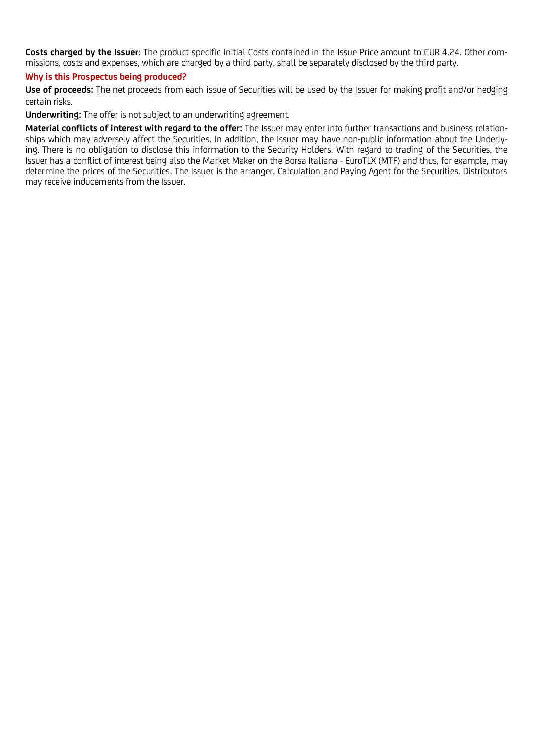**Costs charged by the Issuer**: The product specific Initial Costs contained in the Issue Price amount to EUR 4.24. Other commissions, costs and expenses, which are charged by a third party, shall be separately disclosed by the third party.

## **Why is this Prospectus being produced?**

**Use of proceeds:** The net proceeds from each issue of Securities will be used by the Issuer for making profit and/or hedging certain risks.

**Underwriting:** The offer is not subject to an underwriting agreement.

**Material conflicts of interest with regard to the offer:** The Issuer may enter into further transactions and business relationships which may adversely affect the Securities. In addition, the Issuer may have non-public information about the Underlying. There is no obligation to disclose this information to the Security Holders. With regard to trading of the Securities, the Issuer has a conflict of interest being also the Market Maker on the Borsa Italiana - EuroTLX (MTF) and thus, for example, may determine the prices of the Securities. The Issuer is the arranger, Calculation and Paying Agent for the Securities. Distributors may receive inducements from the Issuer.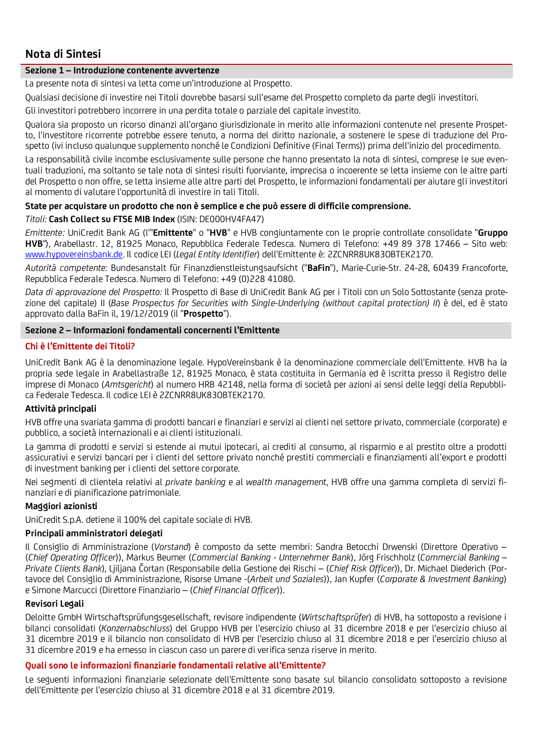# **Nota di Sintesi**

# **Sezione 1 – Introduzione contenente avvertenze**

La presente nota di sintesi va letta come un'introduzione al Prospetto.

Qualsiasi decisione di investire nei Titoli dovrebbe basarsi sull'esame del Prospetto completo da parte degli investitori.

Gli investitori potrebbero incorrere in una perdita totale o parziale del capitale investito.

Qualora sia proposto un ricorso dinanzi all'organo giurisdizionale in merito alle informazioni contenute nel presente Prospetto, l'investitore ricorrente potrebbe essere tenuto, a norma del diritto nazionale, a sostenere le spese di traduzione del Prospetto (ivi incluso qualunque supplemento nonché le Condizioni Definitive (Final Terms)) prima dell'inizio del procedimento.

La responsabilità civile incombe esclusivamente sulle persone che hanno presentato la nota di sintesi, comprese le sue eventuali traduzioni, ma soltanto se tale nota di sintesi risulti fuorviante, imprecisa o incoerente se letta insieme con le altre parti del Prospetto o non offre, se letta insieme alle altre parti del Prospetto, le informazioni fondamentali per aiutare gli investitori al momento di valutare l'opportunità di investire in tali Titoli.

# **State per acquistare un prodotto che non è semplice e che può essere di difficile comprensione.**

*Titoli:* **Cash Collect su FTSE MIB Index** (ISIN: DE000HV4FA47)

*Emittente:* UniCredit Bank AG (l'"**Emittente**" o "**HVB**" e HVB congiuntamente con le proprie controllate consolidate "**Gruppo HVB**"), Arabellastr. 12, 81925 Monaco, Repubblica Federale Tedesca. Numero di Telefono: +49 89 378 17466 – Sito web: [www.hypovereinsbank.de.](http://www.hypovereinsbank.de/) Il codice LEI (*Legal Entity Identifier*) dell'Emittente è: 2ZCNRR8UK83OBTEK2170.

*Autorità competente:* Bundesanstalt für Finanzdienstleistungsaufsicht ("**BaFin**"), Marie-Curie-Str. 24-28, 60439 Francoforte, Repubblica Federale Tedesca. Numero di Telefono: +49 (0)228 41080.

*Data di approvazione del Prospetto:* Il Prospetto di Base di UniCredit Bank AG per i Titoli con un Solo Sottostante (senza protezione del capitale) II (*Base Prospectus for Securities with Single-Underlying (without capital protection) II*) è del, ed è stato approvato dalla BaFin il, 19/12/2019 (il "**Prospetto**").

## **Sezione 2 – Informazioni fondamentali concernenti l'Emittente**

## **Chi è l'Emittente dei Titoli?**

UniCredit Bank AG è la denominazione legale. HypoVereinsbank è la denominazione commerciale dell'Emittente. HVB ha la propria sede legale in Arabellastraße 12, 81925 Monaco, è stata costituita in Germania ed è iscritta presso il Registro delle imprese di Monaco (*Amtsgericht*) al numero HRB 42148, nella forma di società per azioni ai sensi delle leggi della Repubblica Federale Tedesca. Il codice LEI è 2ZCNRR8UK83OBTEK2170.

## **Attività principali**

HVB offre una svariata gamma di prodotti bancari e finanziari e servizi ai clienti nel settore privato, commerciale (corporate) e pubblico, a società internazionali e ai clienti istituzionali.

La gamma di prodotti e servizi si estende ai mutui ipotecari, ai crediti al consumo, al risparmio e al prestito oltre a prodotti assicurativi e servizi bancari per i clienti del settore privato nonché prestiti commerciali e finanziamenti all'export e prodotti di investment banking per i clienti del settore corporate.

Nei segmenti di clientela relativi al *private banking* e al *wealth management*, HVB offre una gamma completa di servizi finanziari e di pianificazione patrimoniale.

## **Maggiori azionisti**

UniCredit S.p.A. detiene il 100% del capitale sociale di HVB.

## **Principali amministratori delegati**

Il Consiglio di Amministrazione (*Vorstand*) è composto da sette membri: Sandra Betocchi Drwenski (Direttore Operativo – (*Chief Operating Officer*)), Markus Beumer (*Commercial Banking* - *Unternehmer Bank*), Jörg Frischholz (*Commercial Banking – Private Clients Bank*), Ljiljana Čortan (Responsabile della Gestione dei Rischi – (*Chief Risk Officer*)), Dr. Michael Diederich (Portavoce del Consiglio di Amministrazione, Risorse Umane -(*Arbeit und Soziales*)), Jan Kupfer (*Corporate & Investment Banking*) e Simone Marcucci (Direttore Finanziario – (*Chief Financial Officer*)).

## **Revisori Legali**

Deloitte GmbH Wirtschaftsprüfungsgesellschaft, revisore indipendente (*Wirtschaftsprüfer*) di HVB, ha sottoposto a revisione i bilanci consolidati (*Konzernabschluss*) del Gruppo HVB per l'esercizio chiuso al 31 dicembre 2018 e per l'esercizio chiuso al 31 dicembre 2019 e il bilancio non consolidato di HVB per l'esercizio chiuso al 31 dicembre 2018 e per l'esercizio chiuso al 31 dicembre 2019 e ha emesso in ciascun caso un parere di verifica senza riserve in merito.

## **Quali sono le informazioni finanziarie fondamentali relative all'Emittente?**

Le seguenti informazioni finanziarie selezionate dell'Emittente sono basate sul bilancio consolidato sottoposto a revisione dell'Emittente per l'esercizio chiuso al 31 dicembre 2018 e al 31 dicembre 2019.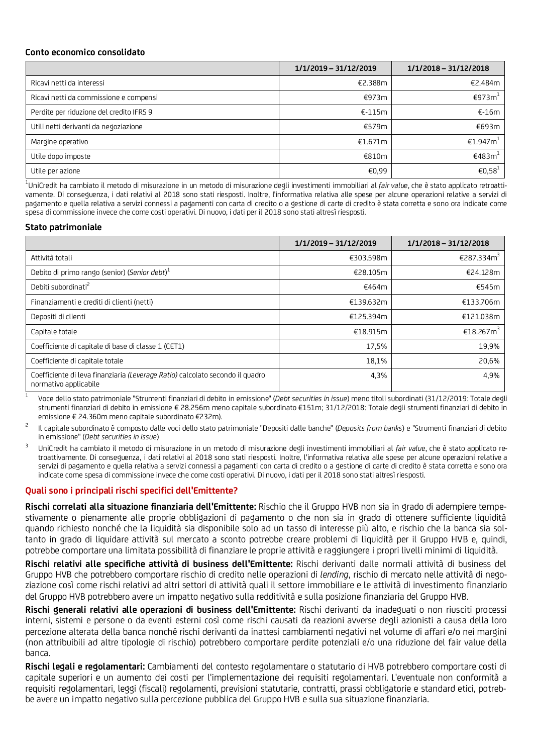## **Conto economico consolidato**

|                                          | 1/1/2019 - 31/12/2019 | $1/1/2018 - 31/12/2018$         |
|------------------------------------------|-----------------------|---------------------------------|
| Ricavi netti da interessi                | €2.388m               | €2.484m                         |
| Ricavi netti da commissione e compensi   | €973m                 | €973m <sup><math>±</math></sup> |
| Perdite per riduzione del credito IFRS 9 | $E-115m$              | $E-16m$                         |
| Utili netti derivanti da negoziazione    | €579m                 | €693m                           |
| Margine operativo                        | €1.671 $m$            | €1.947m <sup>⊥</sup>            |
| Utile dopo imposte                       | €810m                 | €483m <sup>1</sup>              |
| Utile per azione                         | €0,99                 | €0,58 <sup>1</sup>              |

<sup>1</sup>UniCredit ha cambiato il metodo di misurazione in un metodo di misurazione degli investimenti immobiliari al *fair value*, che è stato applicato retroattivamente. Di conseguenza, i dati relativi al 2018 sono stati riesposti. Inoltre, l'informativa relativa alle spese per alcune operazioni relative a servizi di pagamento e quella relativa a servizi connessi a pagamenti con carta di credito o a gestione di carte di credito è stata corretta e sono ora indicate come spesa di commissione invece che come costi operativi. Di nuovo, i dati per il 2018 sono stati altresì riesposti.

## **Stato patrimoniale**

|                                                                                                        | 1/1/2019 - 31/12/2019 | 1/1/2018 - 31/12/2018  |
|--------------------------------------------------------------------------------------------------------|-----------------------|------------------------|
| Attività totali                                                                                        | €303.598m             | €287.334m <sup>3</sup> |
| Debito di primo rango (senior) (Senior debt) <sup>1</sup>                                              | €28.105m              | €24.128m               |
| Debiti subordinati <sup>2</sup>                                                                        | €464m                 | €545m                  |
| Finanziamenti e crediti di clienti (netti)                                                             | €139.632m             | €133.706m              |
| Depositi di clienti                                                                                    | €125.394m             | €121.038m              |
| Capitale totale                                                                                        | €18.915m              | €18.267m <sup>3</sup>  |
| Coefficiente di capitale di base di classe 1 (CET1)                                                    | 17,5%                 | 19,9%                  |
| Coefficiente di capitale totale                                                                        | 18,1%                 | 20,6%                  |
| Coefficiente di leva finanziaria (Leverage Ratio) calcolato secondo il quadro<br>normativo applicabile | 4,3%                  | 4,9%                   |

<sup>1</sup>Voce dello stato patrimoniale "Strumenti finanziari di debito in emissione" (*Debt securities in issue*) meno titoli subordinati (31/12/2019: Totale degli strumenti finanziari di debito in emissione € 28.256m meno capitale subordinato €151m; 31/12/2018: Totale degli strumenti finanziari di debito in emissione € 24.360m meno capitale subordinato €232m).

- <sup>2</sup>Il capitale subordinato è composto dalle voci dello stato patrimoniale "Depositi dalle banche" (*Deposits from banks*) e "Strumenti finanziari di debito in emissione" (*Debt securities in issue*)
- <sup>3</sup>UniCredit ha cambiato il metodo di misurazione in un metodo di misurazione degli investimenti immobiliari al *fair value*, che è stato applicato retroattivamente. Di conseguenza, i dati relativi al 2018 sono stati riesposti. Inoltre, l'informativa relativa alle spese per alcune operazioni relative a servizi di pagamento e quella relativa a servizi connessi a pagamenti con carta di credito o a gestione di carte di credito è stata corretta e sono ora indicate come spesa di commissione invece che come costi operativi. Di nuovo, i dati per il 2018 sono stati altresì riesposti.

## **Quali sono i principali rischi specifici dell'Emittente?**

**Rischi correlati alla situazione finanziaria dell'Emittente:** Rischio che il Gruppo HVB non sia in grado di adempiere tempestivamente o pienamente alle proprie obbligazioni di pagamento o che non sia in grado di ottenere sufficiente liquidità quando richiesto nonché che la liquidità sia disponibile solo ad un tasso di interesse più alto, e rischio che la banca sia soltanto in grado di liquidare attività sul mercato a sconto potrebbe creare problemi di liquidità per il Gruppo HVB e, quindi, potrebbe comportare una limitata possibilità di finanziare le proprie attività e raggiungere i propri livelli minimi di liquidità.

**Rischi relativi alle specifiche attività di business dell'Emittente:** Rischi derivanti dalle normali attività di business del Gruppo HVB che potrebbero comportare rischio di credito nelle operazioni di *lending*, rischio di mercato nelle attività di negoziazione così come rischi relativi ad altri settori di attività quali il settore immobiliare e le attività di investimento finanziario del Gruppo HVB potrebbero avere un impatto negativo sulla redditività e sulla posizione finanziaria del Gruppo HVB.

**Rischi generali relativi alle operazioni di business dell'Emittente:** Rischi derivanti da inadeguati o non riusciti processi interni, sistemi e persone o da eventi esterni così come rischi causati da reazioni avverse degli azionisti a causa della loro percezione alterata della banca nonché rischi derivanti da inattesi cambiamenti negativi nel volume di affari e/o nei margini (non attribuibili ad altre tipologie di rischio) potrebbero comportare perdite potenziali e/o una riduzione del fair value della banca.

**Rischi legali e regolamentari:** Cambiamenti del contesto regolamentare o statutario di HVB potrebbero comportare costi di capitale superiori e un aumento dei costi per l'implementazione dei requisiti regolamentari. L'eventuale non conformità a requisiti regolamentari, leggi (fiscali) regolamenti, previsioni statutarie, contratti, prassi obbligatorie e standard etici, potrebbe avere un impatto negativo sulla percezione pubblica del Gruppo HVB e sulla sua situazione finanziaria.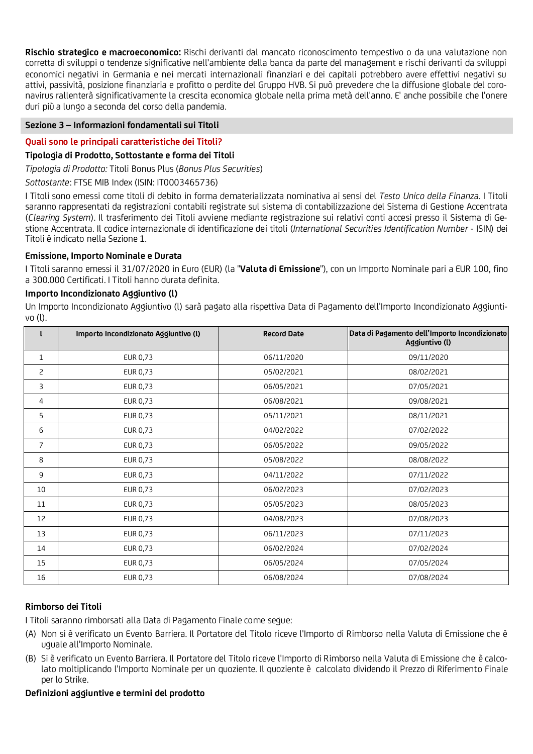**Rischio strategico e macroeconomico:** Rischi derivanti dal mancato riconoscimento tempestivo o da una valutazione non corretta di sviluppi o tendenze significative nell'ambiente della banca da parte del management e rischi derivanti da sviluppi economici negativi in Germania e nei mercati internazionali finanziari e dei capitali potrebbero avere effettivi negativi su attivi, passività, posizione finanziaria e profitto o perdite del Gruppo HVB. Si può prevedere che la diffusione globale del coronavirus rallenterà significativamente la crescita economica globale nella prima metà dell'anno. E' anche possibile che l'onere duri più a lungo a seconda del corso della pandemia.

# **Sezione 3 – Informazioni fondamentali sui Titoli**

# **Quali sono le principali caratteristiche dei Titoli?**

## **Tipologia di Prodotto, Sottostante e forma dei Titoli**

*Tipologia di Prodotto:* Titoli Bonus Plus (*Bonus Plus Securities*)

*Sottostante*: FTSE MIB Index (ISIN: IT0003465736)

I Titoli sono emessi come titoli di debito in forma dematerializzata nominativa ai sensi del *Testo Unico della Finanza*. I Titoli saranno rappresentati da registrazioni contabili registrate sul sistema di contabilizzazione del Sistema di Gestione Accentrata (*Clearing System*). Il trasferimento dei Titoli avviene mediante registrazione sui relativi conti accesi presso il Sistema di Gestione Accentrata. Il codice internazionale di identificazione dei titoli (*International Securities Identification Number* - ISIN) dei Titoli è indicato nella Sezione 1.

### **Emissione, Importo Nominale e Durata**

I Titoli saranno emessi il 31/07/2020 in Euro (EUR) (la "**Valuta di Emissione**"), con un Importo Nominale pari a EUR 100, fino a 300.000 Certificati. I Titoli hanno durata definita.

### **Importo Incondizionato Aggiuntivo (l)**

Un Importo Incondizionato Aggiuntivo (l) sarà pagato alla rispettiva Data di Pagamento dell'Importo Incondizionato Aggiuntivo (l).

|              | Importo Incondizionato Aggiuntivo (l) | <b>Record Date</b> | Data di Pagamento dell'Importo Incondizionato<br>Aggiuntivo (I) |
|--------------|---------------------------------------|--------------------|-----------------------------------------------------------------|
| $\mathbf{1}$ | EUR 0,73                              | 06/11/2020         | 09/11/2020                                                      |
| 2            | EUR 0,73                              | 05/02/2021         | 08/02/2021                                                      |
| 3            | EUR 0,73                              | 06/05/2021         | 07/05/2021                                                      |
| 4            | EUR 0,73                              | 06/08/2021         | 09/08/2021                                                      |
| 5            | EUR 0,73                              | 05/11/2021         | 08/11/2021                                                      |
| 6            | EUR 0,73                              | 04/02/2022         | 07/02/2022                                                      |
| 7            | EUR 0,73                              | 06/05/2022         | 09/05/2022                                                      |
| 8            | EUR 0,73                              | 05/08/2022         | 08/08/2022                                                      |
| 9            | EUR 0,73                              | 04/11/2022         | 07/11/2022                                                      |
| 10           | EUR 0,73                              | 06/02/2023         | 07/02/2023                                                      |
| 11           | EUR 0,73                              | 05/05/2023         | 08/05/2023                                                      |
| 12           | EUR 0,73                              | 04/08/2023         | 07/08/2023                                                      |
| 13           | EUR 0,73                              | 06/11/2023         | 07/11/2023                                                      |
| 14           | EUR 0,73                              | 06/02/2024         | 07/02/2024                                                      |
| 15           | EUR 0,73                              | 06/05/2024         | 07/05/2024                                                      |
| 16           | EUR 0,73                              | 06/08/2024         | 07/08/2024                                                      |

## **Rimborso dei Titoli**

I Titoli saranno rimborsati alla Data di Pagamento Finale come segue:

- (A) Non si è verificato un Evento Barriera. Il Portatore del Titolo riceve l'Importo di Rimborso nella Valuta di Emissione che è uguale all'Importo Nominale.
- (B) Si è verificato un Evento Barriera. Il Portatore del Titolo riceve l'Importo di Rimborso nella Valuta di Emissione che è calcolato moltiplicando l'Importo Nominale per un quoziente. Il quoziente è calcolato dividendo il Prezzo di Riferimento Finale per lo Strike.

#### **Definizioni aggiuntive e termini del prodotto**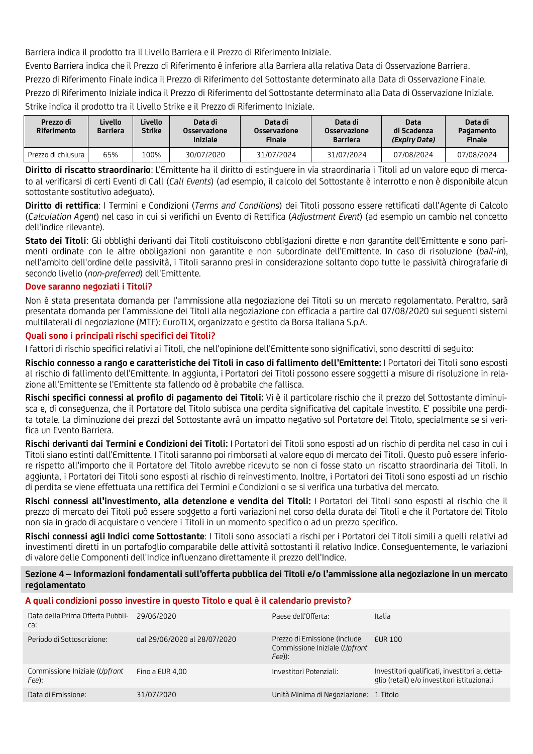Barriera indica il prodotto tra il Livello Barriera e il Prezzo di Riferimento Iniziale.

Evento Barriera indica che il Prezzo di Riferimento è inferiore alla Barriera alla relativa Data di Osservazione Barriera.

Prezzo di Riferimento Finale indica il Prezzo di Riferimento del Sottostante determinato alla Data di Osservazione Finale.

Prezzo di Riferimento Iniziale indica il Prezzo di Riferimento del Sottostante determinato alla Data di Osservazione Iniziale. Strike indica il prodotto tra il Livello Strike e il Prezzo di Riferimento Iniziale.

| Prezzo di<br>Riferimento | Livello<br><b>Barriera</b> | Livello<br>Strike | Data di<br>Osservazione<br><b>Iniziale</b> | Data di<br>Osservazione<br><b>Finale</b> | Data di<br>Osservazione<br>Barriera | Data<br>di Scadenza<br>(Expiry Date) | Data di<br>Pagamento<br><b>Finale</b> |
|--------------------------|----------------------------|-------------------|--------------------------------------------|------------------------------------------|-------------------------------------|--------------------------------------|---------------------------------------|
| Prezzo di chiusura I     | 65%                        | .00%              | 30/07/2020                                 | 31/07/2024                               | 31/07/2024                          | 07/08/2024                           | 07/08/2024                            |

**Diritto di riscatto straordinario**: L'Emittente ha il diritto di estinguere in via straordinaria i Titoli ad un valore equo di mercato al verificarsi di certi Eventi di Call (*Call Events*) (ad esempio, il calcolo del Sottostante è interrotto e non è disponibile alcun sottostante sostitutivo adeguato).

**Diritto di rettifica**: I Termini e Condizioni (*Terms and Conditions*) dei Titoli possono essere rettificati dall'Agente di Calcolo (*Calculation Agent*) nel caso in cui si verifichi un Evento di Rettifica (*Adjustment Event*) (ad esempio un cambio nel concetto dell'indice rilevante).

**Stato dei Titoli**: Gli obblighi derivanti dai Titoli costituiscono obbligazioni dirette e non garantite dell'Emittente e sono parimenti ordinate con le altre obbligazioni non garantite e non subordinate dell'Emittente. In caso di risoluzione (*bail-in*), nell'ambito dell'ordine delle passività, i Titoli saranno presi in considerazione soltanto dopo tutte le passività chirografarie di secondo livello (*non-preferred*) dell'Emittente.

# **Dove saranno negoziati i Titoli?**

Non è stata presentata domanda per l'ammissione alla negoziazione dei Titoli su un mercato regolamentato. Peraltro, sarà presentata domanda per l'ammissione dei Titoli alla negoziazione con efficacia a partire dal 07/08/2020 sui seguenti sistemi multilaterali di negoziazione (MTF): EuroTLX, organizzato e gestito da Borsa Italiana S.p.A.

# **Quali sono i principali rischi specifici dei Titoli?**

I fattori di rischio specifici relativi ai Titoli, che nell'opinione dell'Emittente sono significativi, sono descritti di seguito:

**Rischio connesso a rango e caratteristiche dei Titoli in caso di fallimento dell'Emittente:** I Portatori dei Titoli sono esposti al rischio di fallimento dell'Emittente. In aggiunta, i Portatori dei Titoli possono essere soggetti a misure di risoluzione in relazione all'Emittente se l'Emittente sta fallendo od è probabile che fallisca.

**Rischi specifici connessi al profilo di pagamento dei Titoli:** Vi è il particolare rischio che il prezzo del Sottostante diminuisca e, di conseguenza, che il Portatore del Titolo subisca una perdita significativa del capitale investito. E' possibile una perdita totale. La diminuzione dei prezzi del Sottostante avrà un impatto negativo sul Portatore del Titolo, specialmente se si verifica un Evento Barriera.

**Rischi derivanti dai Termini e Condizioni dei Titoli:** I Portatori dei Titoli sono esposti ad un rischio di perdita nel caso in cui i Titoli siano estinti dall'Emittente. I Titoli saranno poi rimborsati al valore equo di mercato dei Titoli. Questo può essere inferiore rispetto all'importo che il Portatore del Titolo avrebbe ricevuto se non ci fosse stato un riscatto straordinaria dei Titoli. In aggiunta, i Portatori dei Titoli sono esposti al rischio di reinvestimento. Inoltre, i Portatori dei Titoli sono esposti ad un rischio di perdita se viene effettuata una rettifica dei Termini e Condizioni o se si verifica una turbativa del mercato.

**Rischi connessi all'investimento, alla detenzione e vendita dei Titoli:** I Portatori dei Titoli sono esposti al rischio che il prezzo di mercato dei Titoli può essere soggetto a forti variazioni nel corso della durata dei Titoli e che il Portatore del Titolo non sia in grado di acquistare o vendere i Titoli in un momento specifico o ad un prezzo specifico.

**Rischi connessi agli Indici come Sottostante**: I Titoli sono associati a rischi per i Portatori dei Titoli simili a quelli relativi ad investimenti diretti in un portafoglio comparabile delle attività sottostanti il relativo Indice. Conseguentemente, le variazioni di valore delle Componenti dell'Indice influenzano direttamente il prezzo dell'Indice.

**Sezione 4 – Informazioni fondamentali sull'offerta pubblica dei Titoli e/o l'ammissione alla negoziazione in un mercato regolamentato** 

## **A quali condizioni posso investire in questo Titolo e qual è il calendario previsto?**

| Data della Prima Offerta Pubbli-<br>ca: | 29/06/2020                   | Paese dell'Offerta:                                                     | Italia                                                                                        |
|-----------------------------------------|------------------------------|-------------------------------------------------------------------------|-----------------------------------------------------------------------------------------------|
| Periodo di Sottoscrizione:              | dal 29/06/2020 al 28/07/2020 | Prezzo di Emissione (include<br>Commissione Iniziale (Upfront<br>Fee)): | EUR 100                                                                                       |
| Commissione Iniziale (Upfront<br>Fee):  | Fino a EUR 4.00              | Investitori Potenziali:                                                 | Investitori qualificati, investitori al detta-<br>glio (retail) e/o investitori istituzionali |
| Data di Emissione:                      | 31/07/2020                   | Unità Minima di Negoziazione: 1 Titolo                                  |                                                                                               |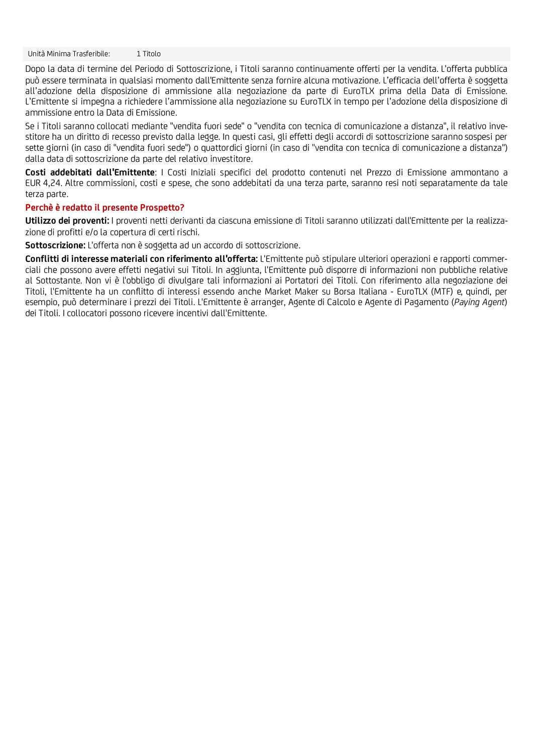Unità Minima Trasferibile: 1 Titolo

Dopo la data di termine del Periodo di Sottoscrizione, i Titoli saranno continuamente offerti per la vendita. L'offerta pubblica può essere terminata in qualsiasi momento dall'Emittente senza fornire alcuna motivazione. L'efficacia dell'offerta è soggetta all'adozione della disposizione di ammissione alla negoziazione da parte di EuroTLX prima della Data di Emissione. L'Emittente si impegna a richiedere l'ammissione alla negoziazione su EuroTLX in tempo per l'adozione della disposizione di ammissione entro la Data di Emissione.

Se i Titoli saranno collocati mediante "vendita fuori sede" o "vendita con tecnica di comunicazione a distanza", il relativo investitore ha un diritto di recesso previsto dalla legge. In questi casi, gli effetti degli accordi di sottoscrizione saranno sospesi per sette giorni (in caso di "vendita fuori sede") o quattordici giorni (in caso di "vendita con tecnica di comunicazione a distanza") dalla data di sottoscrizione da parte del relativo investitore.

**Costi addebitati dall'Emittente**: I Costi Iniziali specifici del prodotto contenuti nel Prezzo di Emissione ammontano a EUR 4,24. Altre commissioni, costi e spese, che sono addebitati da una terza parte, saranno resi noti separatamente da tale terza parte.

### **Perchè è redatto il presente Prospetto?**

**Utilizzo dei proventi:** I proventi netti derivanti da ciascuna emissione di Titoli saranno utilizzati dall'Emittente per la realizzazione di profitti e/o la copertura di certi rischi.

**Sottoscrizione:** L'offerta non è soggetta ad un accordo di sottoscrizione.

**Conflitti di interesse materiali con riferimento all'offerta:** L'Emittente può stipulare ulteriori operazioni e rapporti commerciali che possono avere effetti negativi sui Titoli. In aggiunta, l'Emittente può disporre di informazioni non pubbliche relative al Sottostante. Non vi è l'obbligo di divulgare tali informazioni ai Portatori dei Titoli. Con riferimento alla negoziazione dei Titoli, l'Emittente ha un conflitto di interessi essendo anche Market Maker su Borsa Italiana - EuroTLX (MTF) e, quindi, per esempio, può determinare i prezzi dei Titoli. L'Emittente è arranger, Agente di Calcolo e Agente di Pagamento (*Paying Agent*) dei Titoli. I collocatori possono ricevere incentivi dall'Emittente.